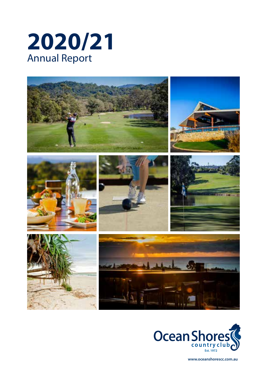





**www.oceanshorescc.com.au**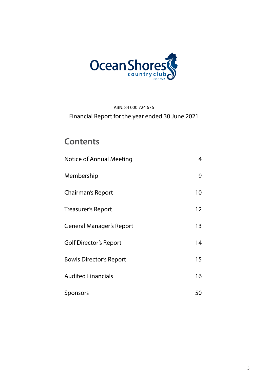

ABN: 84 000 724 676

## Financial Report for the year ended 30 June 2021

# **Contents**

| Notice of Annual Meeting       | 4  |
|--------------------------------|----|
| Membership                     | 9  |
| Chairman's Report              | 10 |
| Treasurer's Report             | 12 |
| General Manager's Report       | 13 |
| <b>Golf Director's Report</b>  | 14 |
| <b>Bowls Director's Report</b> | 15 |
| <b>Audited Financials</b>      | 16 |
| Sponsors                       | 50 |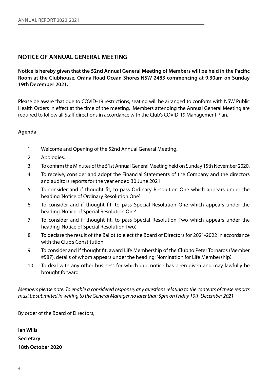## **NOTICE OF ANNUAL GENERAL MEETING**

**Notice is hereby given that the 52nd Annual General Meeting of Members will be held in the Pacific Room at the Clubhouse, Orana Road Ocean Shores NSW 2483 commencing at 9.30am on Sunday 19th December 2021.**

Please be aware that due to COVID-19 restrictions, seating will be arranged to conform with NSW Public Health Orders in effect at the time of the meeting. Members attending the Annual General Meeting are required to follow all Staff directions in accordance with the Club's COVID-19 Management Plan.

## **Agenda**

- 1. Welcome and Opening of the 52nd Annual General Meeting.
- 2. Apologies.
- 3. To confirm the Minutes of the 51st Annual General Meeting held on Sunday 15th November 2020.
- 4. To receive, consider and adopt the Financial Statements of the Company and the directors and auditors reports for the year ended 30 June 2021.
- 5. To consider and if thought fit, to pass Ordinary Resolution One which appears under the heading 'Notice of Ordinary Resolution One'.
- 6. To consider and if thought fit, to pass Special Resolution One which appears under the heading 'Notice of Special Resolution One'.
- 7. To consider and if thought fit, to pass Special Resolution Two which appears under the heading 'Notice of Special Resolution Two'.
- 8. To declare the result of the Ballot to elect the Board of Directors for 2021-2022 in accordance with the Club's Constitution.
- 9. To consider and if thought fit, award Life Membership of the Club to Peter Tornaros (Member #587), details of whom appears under the heading 'Nomination for Life Membership'.
- 10. To deal with any other business for which due notice has been given and may lawfully be brought forward.

*Members please note: To enable a considered response, any questions relating to the contents of these reports must be submitted in writing to the General Manager no later than 5pm on Friday 10th December 2021.*

By order of the Board of Directors,

**Ian Wills Secretary 18th October 2020**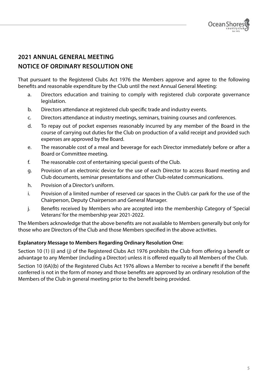

# **2021 ANNUAL GENERAL MEETING NOTICE OF ORDINARY RESOLUTION ONE**

That pursuant to the Registered Clubs Act 1976 the Members approve and agree to the following benefits and reasonable expenditure by the Club until the next Annual General Meeting:

- a. Directors education and training to comply with registered club corporate governance legislation.
- b. Directors attendance at registered club specific trade and industry events.
- c. Directors attendance at industry meetings, seminars, training courses and conferences.
- d. To repay out of pocket expenses reasonably incurred by any member of the Board in the course of carrying out duties for the Club on production of a valid receipt and provided such expenses are approved by the Board.
- e. The reasonable cost of a meal and beverage for each Director immediately before or after a Board or Committee meeting.
- f. The reasonable cost of entertaining special guests of the Club.
- g. Provision of an electronic device for the use of each Director to access Board meeting and Club documents, seminar presentations and other Club-related communications.
- h. Provision of a Director's uniform.
- i. Provision of a limited number of reserved car spaces in the Club's car park for the use of the Chairperson, Deputy Chairperson and General Manager.
- j. Benefits received by Members who are accepted into the membership Category of 'Special Veterans' for the membership year 2021-2022.

The Members acknowledge that the above benefits are not available to Members generally but only for those who are Directors of the Club and those Members specified in the above activities.

## **Explanatory Message to Members Regarding Ordinary Resolution One:**

Section 10 (1) (i) and (j) of the Registered Clubs Act 1976 prohibits the Club from offering a benefit or advantage to any Member (including a Director) unless it is offered equally to all Members of the Club.

Section 10 (6A)(b) of the Registered Clubs Act 1976 allows a Member to receive a benefit if the benefit conferred is not in the form of money and those benefits are approved by an ordinary resolution of the Members of the Club in general meeting prior to the benefit being provided.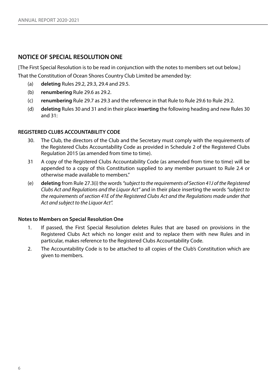# **NOTICE OF SPECIAL RESOLUTION ONE**

[The First Special Resolution is to be read in conjunction with the notes to members set out below.] That the Constitution of Ocean Shores Country Club Limited be amended by:

- (a) **deleting** Rules 29.2, 29.3, 29.4 and 29.5.
- (b) **renumbering** Rule 29.6 as 29.2.
- (c) **renumbering** Rule 29.7 as 29.3 and the reference in that Rule to Rule 29.6 to Rule 29.2.
- (d) **deleting** Rules 30 and 31 and in their place **inserting** the following heading and new Rules 30 and  $31$

## **REGISTERED CLUBS ACCOUNTABILITY CODE**

- 30. The Club, the directors of the Club and the Secretary must comply with the requirements of the Registered Clubs Accountability Code as provided in Schedule 2 of the Registered Clubs Regulation 2015 (as amended from time to time).
- 31 A copy of the Registered Clubs Accountability Code (as amended from time to time) will be appended to a copy of this Constitution supplied to any member pursuant to Rule 2.4 or otherwise made available to members."
- (e) **deleting** from Rule 27.3(i) the words *"subject to the requirements of Section 41J of the Registered Clubs Act and Regulations and the Liquor Act"* and in their place inserting the words *"subject to the requirements of section 41E of the Registered Clubs Act and the Regulations made under that Act and subject to the Liquor Act".*

## **Notes to Members on Special Resolution One**

- 1. If passed, the First Special Resolution deletes Rules that are based on provisions in the Registered Clubs Act which no longer exist and to replace them with new Rules and in particular, makes reference to the Registered Clubs Accountability Code.
- 2. The Accountability Code is to be attached to all copies of the Club's Constitution which are given to members.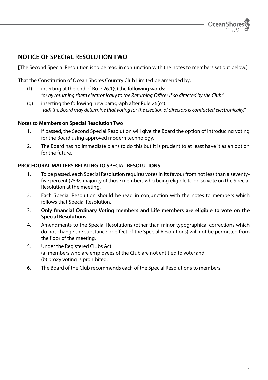

# **NOTICE OF SPECIAL RESOLUTION TWO**

[The Second Special Resolution is to be read in conjunction with the notes to members set out below.]

That the Constitution of Ocean Shores Country Club Limited be amended by:

- $(f)$  inserting at the end of Rule 26.1(s) the following words: *"or by returning them electronically to the Returning Officer if so directed by the Club."*
- $(a)$  inserting the following new paragraph after Rule 26(cc): *"(dd) the Board may determine that voting for the election of directors is conducted electronically."*

## **Notes to Members on Special Resolution Two**

- 1. If passed, the Second Special Resolution will give the Board the option of introducing voting for the Board using approved modern technology.
- 2. The Board has no immediate plans to do this but it is prudent to at least have it as an option for the future.

## **PROCEDURAL MATTERS RELATING TO SPECIAL RESOLUTIONS**

- 1. To be passed, each Special Resolution requires votes in its favour from not less than a seventyfive percent (75%) majority of those members who being eligible to do so vote on the Special Resolution at the meeting.
- 2. Each Special Resolution should be read in conjunction with the notes to members which follows that Special Resolution.
- 3. **Only financial Ordinary Voting members and Life members are eligible to vote on the Special Resolutions.**
- 4. Amendments to the Special Resolutions (other than minor typographical corrections which do not change the substance or effect of the Special Resolutions) will not be permitted from the floor of the meeting.
- 5. Under the Registered Clubs Act: (a) members who are employees of the Club are not entitled to vote; and (b) proxy voting is prohibited.
- 6. The Board of the Club recommends each of the Special Resolutions to members.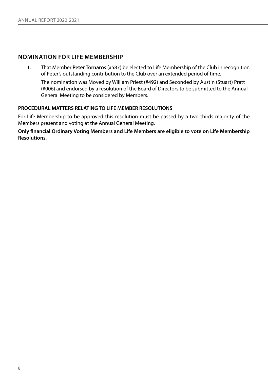## **NOMINATION FOR LIFE MEMBERSHIP**

1. That Member **Peter Tornaros** (#587) be elected to Life Membership of the Club in recognition of Peter's outstanding contribution to the Club over an extended period of time.

 The nomination was Moved by William Priest (#492) and Seconded by Austin (Stuart) Pratt (#006) and endorsed by a resolution of the Board of Directors to be submitted to the Annual General Meeting to be considered by Members.

## **PROCEDURAL MATTERS RELATING TO LIFE MEMBER RESOLUTIONS**

For Life Membership to be approved this resolution must be passed by a two thirds majority of the Members present and voting at the Annual General Meeting.

**Only financial Ordinary Voting Members and Life Members are eligible to vote on Life Membership Resolutions.**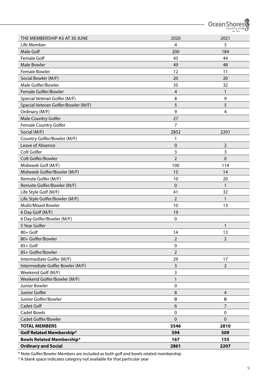| THE MEMBERSHIP AS AT 30 JUNE        | 2020           | 2021           |
|-------------------------------------|----------------|----------------|
| Life Member                         | 4              | 5              |
| Male Golf                           | 200            | 184            |
| Female Golf                         | 43             | 44             |
| Male Bowler                         | 49             | 48             |
| Female Bowler                       | 12             | 11             |
| Social Bowler (M/F)                 | 20             | 20             |
| Male Golfer/Bowler                  | 35             | 32             |
| Female Golfer/Bowler                | $\overline{4}$ | $\mathbf{1}$   |
| Special Veteran Golfer (M/F)        | 8              | 9              |
| Special Veteran Golfer/Bowler (M/F) | 5              | 5              |
| Ordinary (M/F)                      | 9              | 4              |
| Male Country Golfer                 | 27             |                |
| Female Country Golfer               | $\overline{7}$ |                |
| Social (M/F)                        | 2852           | 2201           |
| Country Golfer/Bowler (M/F)         | 1              |                |
| Leave of Absence                    | $\mathbf{0}$   | $\overline{2}$ |
| Colt Golfer                         | 3              | 3              |
| Colt Golfer/Bowler                  | $\overline{2}$ | $\overline{0}$ |
| Midweek Golf (M/F)                  | 100            | 114            |
| Midweek Golfer/Bowler (M/F)         | 15             | 14             |
| Remote Golfer (M/F)                 | 10             | 20             |
| Remote Golfer/Bowler (M/F)          | $\mathbf 0$    | $\mathbf{1}$   |
| Life Style Golf (M/F)               | 41             | 32             |
| Life Style Golfer/Bowler (M/F)      | $\overline{2}$ | $\mathbf{1}$   |
| Multi/Mixed Bowler                  | 10             | 13             |
| 6 Day Golf (M/F)                    | 19             |                |
| 6 Day Golfer/Bowler (M/F)           | 0              |                |
| 5 Year Golfer                       |                | $\mathbf{1}$   |
| 80+ Golf                            | 14             | 13             |
| 80+ Golfer/Bowler                   | $\overline{2}$ | $\overline{2}$ |
| 85+ Golf                            | 0              |                |
| 85+ Golfer/Bowler                   | $\overline{2}$ |                |
| Intermediate Golfer (M/F)           | 29             | 17             |
| Intermediate Golfer Bowler (M/F)    | 3              | $\overline{2}$ |
| Weekend Golf (M/F)                  | 3              |                |
| Weekend Golfer/Bowler (M/F)         | $\mathbf{1}$   |                |
| Junior Bowler                       | $\mathbf 0$    |                |
| Junior Golfer                       | 8              | $\overline{4}$ |
| Junior Golfer/Bowler                | $\mathbf 0$    | 0              |
| Cadet Golf                          | 6              | $\overline{7}$ |
| <b>Cadet Bowls</b>                  | 0              | 0              |
| Cadet Golfer/Bowler                 | $\overline{0}$ | $\overline{0}$ |
| <b>TOTAL MEMBERS</b>                | 3546           | 2810           |
| Golf Related Membership*            | 594            | 509            |
| <b>Bowls Related Membership*</b>    | 167            | 155            |
| <b>Ordinary and Social</b>          | 2861           | 2207           |
|                                     |                |                |

\* Note Golfer/Bowler Members are included as both golf and bowls related membership

\* A blank space indicates category not available for that particular year

Ocean Shores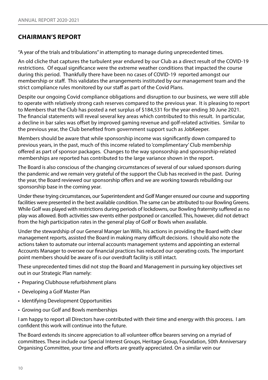## **CHAIRMAN'S REPORT**

"A year of the trials and tribulations" in attempting to manage during unprecedented times.

An old cliche that captures the turbulent year endured by our Club as a direct result of the COVID-19 restrictions. Of equal significance were the extreme weather conditions that impacted the course during this period. Thankfully there have been no cases of COVID-19 reported amongst our membership or staff. This validates the arrangements instituted by our management team and the strict compliance rules monitored by our staff as part of the Covid Plans.

Despite our ongoing Covid compliance obligations and disruption to our business, we were still able to operate with relatively strong cash reserves compared to the previous year. It is pleasing to report to Members that the Club has posted a net surplus of \$184,531 for the year ending 30 June 2021. The financial statements will reveal several key areas which contributed to this result. In particular, a decline in bar sales was offset by improved gaming revenue and golf-related activities. Similar to the previous year, the Club benefited from government support such as JobKeeper.

Members should be aware that while sponsorship income was significantly down compared to previous years, in the past, much of this income related to 'complimentary' Club membership offered as part of sponsor packages. Changes to the way sponsorship and sponsorship-related memberships are reported has contributed to the large variance shown in the report.

The Board is also conscious of the changing circumstances of several of our valued sponsors during the pandemic and we remain very grateful of the support the Club has received in the past. During the year, the Board reviewed our sponsorship offers and we are working towards rebuilding our sponsorship base in the coming year.

Under these trying circumstances, our Superintendent and Golf Manger ensured our course and supporting facilities were presented in the best available condition. The same can be attributed to our Bowling Greens. While Golf was played with restrictions during periods of lockdowns, our Bowling fraternity suffered as no play was allowed. Both activities saw events either postponed or cancelled. This, however, did not detract from the high participation rates in the general play of Golf or Bowls when available.

Under the stewardship of our General Manger Ian Wills, his actions in providing the Board with clear management reports, assisted the Board in making many difficult decisions. I should also note the actions taken to automate our internal accounts management systems and appointing an external Accounts Manager to oversee our financial practices has reduced our operating costs. The important point members should be aware of is our overdraft facility is still intact.

These unprecedented times did not stop the Board and Management in pursuing key objectives set out in our Strategic Plan namely:

- Preparing Clubhouse refurbishment plans
- Developing a Golf Master Plan
- Identifying Development Opportunities
- Growing our Golf and Bowls memberships

I am happy to report all Directors have contributed with their time and energy with this process. I am confident this work will continue into the future.

The Board extends its sincere appreciation to all volunteer office bearers serving on a myriad of committees. These include our Special Interest Groups, Heritage Group, Foundation, 50th Anniversary Organising Committee, your time and efforts are greatly appreciated. On a similar vein our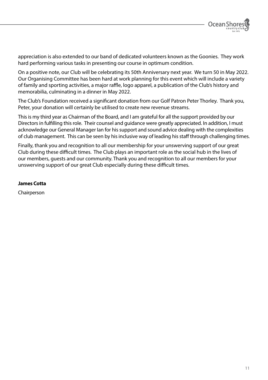

appreciation is also extended to our band of dedicated volunteers known as the Goonies. They work hard performing various tasks in presenting our course in optimum condition.

On a positive note, our Club will be celebrating its 50th Anniversary next year. We turn 50 in May 2022. Our Organising Committee has been hard at work planning for this event which will include a variety of family and sporting activities, a major raffle, logo apparel, a publication of the Club's history and memorabilia, culminating in a dinner in May 2022.

The Club's Foundation received a significant donation from our Golf Patron Peter Thorley. Thank you, Peter, your donation will certainly be utilised to create new revenue streams.

This is my third year as Chairman of the Board, and I am grateful for all the support provided by our Directors in fulfilling this role. Their counsel and guidance were greatly appreciated. In addition, I must acknowledge our General Manager Ian for his support and sound advice dealing with the complexities of club management. This can be seen by his inclusive way of leading his staff through challenging times.

Finally, thank you and recognition to all our membership for your unswerving support of our great Club during these difficult times. The Club plays an important role as the social hub in the lives of our members, guests and our community. Thank you and recognition to all our members for your unswerving support of our great Club especially during these difficult times.

## **James Cotta**

Chairperson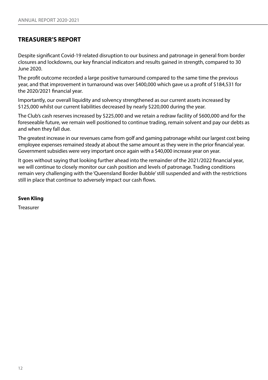# **TREASURER'S REPORT**

Despite significant Covid-19 related disruption to our business and patronage in general from border closures and lockdowns, our key financial indicators and results gained in strength, compared to 30 June 2020.

The profit outcome recorded a large positive turnaround compared to the same time the previous year, and that improvement in turnaround was over \$400,000 which gave us a profit of \$184,531 for the 2020/2021 financial year.

Importantly, our overall liquidity and solvency strengthened as our current assets increased by \$125,000 whilst our current liabilities decreased by nearly \$220,000 during the year.

The Club's cash reserves increased by \$225,000 and we retain a redraw facility of \$600,000 and for the foreseeable future, we remain well positioned to continue trading, remain solvent and pay our debts as and when they fall due.

The greatest increase in our revenues came from golf and gaming patronage whilst our largest cost being employee expenses remained steady at about the same amount as they were in the prior financial year. Government subsidies were very important once again with a \$40,000 increase year on year.

It goes without saying that looking further ahead into the remainder of the 2021/2022 financial year, we will continue to closely monitor our cash position and levels of patronage. Trading conditions remain very challenging with the 'Queensland Border Bubble' still suspended and with the restrictions still in place that continue to adversely impact our cash flows.

## **Sven Kling**

Treasurer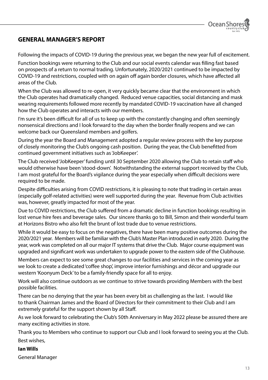

# **GENERAL MANAGER'S REPORT**

Following the impacts of COVID-19 during the previous year, we began the new year full of excitement.

Function bookings were returning to the Club and our social events calendar was filling fast based on prospects of a return to normal trading. Unfortunately, 2020/2021 continued to be impacted by COVID-19 and restrictions, coupled with on again off again border closures, which have affected all areas of the Club.

When the Club was allowed to re-open, it very quickly became clear that the environment in which the Club operates had dramatically changed. Reduced venue capacities, social distancing and mask wearing requirements followed more recently by mandated COVID-19 vaccination have all changed how the Club operates and interacts with our members.

I'm sure it's been difficult for all of us to keep up with the constantly changing and often seemingly nonsensical directions and I look forward to the day when the border finally reopens and we can welcome back our Queensland members and golfers.

During the year the Board and Management adopted a regular review process with the key purpose of closely monitoring the Club's ongoing cash position. During the year, the Club benefitted from continued government initiatives such as 'JobKeeper'.

The Club received 'JobKeeper' funding until 30 September 2020 allowing the Club to retain staff who would otherwise have been 'stood-down'. Notwithstanding the external support received by the Club, I am most grateful for the Board's vigilance during the year especially when difficult decisions were required to be made.

Despite difficulties arising from COVID restrictions, it is pleasing to note that trading in certain areas (especially golf-related activities) were well supported during the year. Revenue from Club activities was, however, greatly impacted for most of the year.

Due to COVID restrictions, the Club suffered from a dramatic decline in function bookings resulting in lost venue hire fees and beverage sales. Our sincere thanks go to Bill, Simon and their wonderful team at Horizons Bistro who also felt the brunt of lost trade due to venue restrictions.

While it would be easy to focus on the negatives, there have been many positive outcomes during the 2020/2021 year. Members will be familiar with the Club's Master Plan introduced in early 2020. During the year, work was completed on all our major IT systems that drive the Club. Major course equipment was upgraded and significant work was undertaken to upgrade power to the eastern side of the Clubhouse.

Members can expect to see some great changes to our facilities and services in the coming year as we look to create a dedicated 'coffee shop', improve interior furnishings and décor and upgrade our western 'Koonyum Deck' to be a family-friendly space for all to enjoy.

Work will also continue outdoors as we continue to strive towards providing Members with the best possible facilities.

There can be no denying that the year has been every bit as challenging as the last. I would like to thank Chairman James and the Board of Directors for their commitment to their Club and I am extremely grateful for the support shown by all Staff.

As we look forward to celebrating the Club's 50th Anniversary in May 2022 please be assured there are many exciting activities in store.

Thank you to Members who continue to support our Club and I look forward to seeing you at the Club. Best wishes,

## **Ian Wills**

General Manager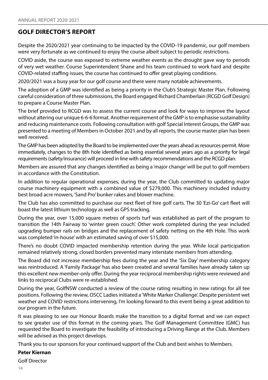# **GOLF DIRECTOR'S REPORT**

Despite the 2020/2021 year continuing to be impacted by the COVID-19 pandemic, our golf members were very fortunate as we continued to enjoy the course albeit subject to periodic restrictions.

COVID aside, the course was exposed to extreme weather events as the drought gave way to periods of very wet weather. Course Superintendent Shane and his team continued to work hard and despite COVID-related staffing issues, the course has continued to offer great playing conditions.

2020/2021 was a busy year for our golf course and there were many notable achievements.

The adoption of a GMP was identified as being a priority in the Club's Strategic Master Plan. Following careful consideration of three submissions, the Board engaged Richard Chamberlain (RCGD Golf Design) to prepare a Course Master Plan.

The brief provided to RCGD was to assess the current course and look for ways to improve the layout without altering our unique 6-6-6 format. Another requirement of the GMP is to emphasise sustainability and reducing maintenance costs. Following consultation with golf Special Interest Groups, the GMP was presented to a meeting of Members in October 2021 and by all reports, the course master plan has been well received.

The GMP has been adopted by the Board to be implemented over the years ahead as resources permit. More immediately, changes to the 8th hole identified as being essential several years ago as a priority for legal requirements (safety/insurance) will proceed in line with safety recommendations and the RCGD plan.

Members are assured that any changes identified as being a 'major change' will be put to golf members in accordance with the Constitution.

In addition to regular operational expenses, during the year, the Club committed to updating major course machinery equipment with a combined value of \$279,000. This machinery included industry best broad acre mowers, 'Sand Pro' bunker rakes and blower machine.

The Club has also committed to purchase our next fleet of hire golf carts. The 30 'Ezi-Go' cart fleet will boast the latest lithium technology as well as GPS tracking.

During the year, over 15,000 square metres of sports turf was established as part of the program to transition the 14th Fairway to 'winter green couch'. Other work completed during the year included upgrading bumper rails on bridges and the replacement of safety netting on the 4th Hole. This work was completed 'in-house' with an estimated saving of over \$15,000.

There's no doubt COVID impacted membership retention during the year. While local participation remained relatively strong, closed borders prevented many interstate members from attending.

The Board did not increase membership fees during the year and the 'Six Day' membership category was reintroduced. A 'Family Package' has also been created and several families have already taken up this excellent new member-only offer. During the year reciprocal membership rights were reviewed and links to reciprocal Clubs were re-established.

During the year, GolfNSW conducted a review of the course rating resulting in new ratings for all tee positions. Following the review, OSCC Ladies initiated a 'White Marker Challenge'. Despite persistent wet weather and COVID restrictions intervening, I'm looking forward to this event being a great addition to our program in the future.

It was pleasing to see our Honour Boards make the transition to a digital format and we can expect to see greater use of this format in the coming years. The Golf Management Committee (GMC) has requested the Board to investigate the feasibility of introducing a Driving Range at the Club. Members will be advised as this project develops.

Thank you to our sponsors for your continued support of the Club and best wishes to Members.

## **Peter Kiernan**

Golf Director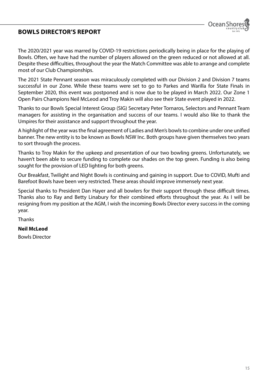# **BOWLS DIRECTOR'S REPORT**



The 2020/2021 year was marred by COVID-19 restrictions periodically being in place for the playing of Bowls. Often, we have had the number of players allowed on the green reduced or not allowed at all. Despite these difficulties, throughout the year the Match Committee was able to arrange and complete most of our Club Championships.

The 2021 State Pennant season was miraculously completed with our Division 2 and Division 7 teams successful in our Zone. While these teams were set to go to Parkes and Warilla for State Finals in September 2020, this event was postponed and is now due to be played in March 2022. Our Zone 1 Open Pairs Champions Neil McLeod and Troy Makin will also see their State event played in 2022.

Thanks to our Bowls Special Interest Group (SIG) Secretary Peter Tornaros, Selectors and Pennant Team managers for assisting in the organisation and success of our teams. I would also like to thank the Umpires for their assistance and support throughout the year.

A highlight of the year was the final agreement of Ladies and Men's bowls to combine under one unified banner. The new entity is to be known as Bowls NSW Inc. Both groups have given themselves two years to sort through the process.

Thanks to Troy Makin for the upkeep and presentation of our two bowling greens. Unfortunately, we haven't been able to secure funding to complete our shades on the top green. Funding is also being sought for the provision of LED lighting for both greens.

Our Breakfast, Twilight and Night Bowls is continuing and gaining in support. Due to COVID, Mufti and Barefoot Bowls have been very restricted. These areas should improve immensely next year.

Special thanks to President Dan Hayer and all bowlers for their support through these difficult times. Thanks also to Ray and Betty Linabury for their combined efforts throughout the year. As I will be resigning from my position at the AGM, I wish the incoming Bowls Director every success in the coming year.

**Thanks** 

## **Neil McLeod**

Bowls Director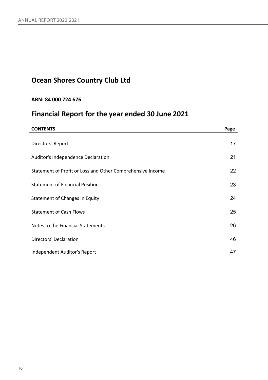# **Ocean Shores Country Club Ltd**

## **ABN: 84 000 724 676**

# **Financial Report for the year ended 30 June 2021**

| <b>CONTENTS</b>                                            | Page |
|------------------------------------------------------------|------|
| Directors' Report                                          | 17   |
| Auditor's Independence Declaration                         | 21   |
| Statement of Profit or Loss and Other Comprehensive Income | 22   |
| <b>Statement of Financial Position</b>                     | 23   |
| Statement of Changes in Equity                             | 24   |
| <b>Statement of Cash Flows</b>                             | 25   |
| Notes to the Financial Statements                          | 26   |
| Directors' Declaration                                     | 46   |
| Independent Auditor's Report                               | 47   |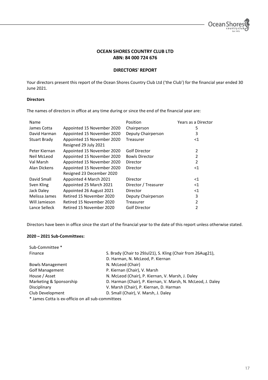

#### **DIRECTORS' REPORT**

Your directors present this report of the Ocean Shores Country Club Ltd ('the Club') for the financial year ended 30 June 2021.

### **Directors**

The names of directors in office at any time during or since the end of the financial year are:

|                            | Position              | Years as a Director |
|----------------------------|-----------------------|---------------------|
| Appointed 15 November 2020 | Chairperson           | 5                   |
| Appointed 15 November 2020 | Deputy Chairperson    | 3                   |
| Appointed 15 November 2020 | Treasurer             | $<$ 1               |
| Resigned 29 July 2021      |                       |                     |
| Appointed 15 November 2020 | Golf Director         | $\overline{2}$      |
| Appointed 15 November 2020 | <b>Bowls Director</b> | $\overline{2}$      |
| Appointed 15 November 2020 | Director              | $\overline{2}$      |
| Appointed 15 November 2020 | Director              | $<$ 1               |
| Resigned 23 December 2020  |                       |                     |
| Appointed 4 March 2021     | Director              | $<$ 1               |
| Appointed 25 March 2021    | Director / Treasurer  | $<$ 1               |
| Appointed 26 August 2021   | Director              | $<$ 1               |
| Retired 15 November 2020   | Deputy Chairperson    | 3                   |
| Retired 15 November 2020   | Treasurer             | $\overline{2}$      |
| Retired 15 November 2020   | Golf Director         | $\overline{2}$      |
|                            |                       |                     |

Directors have been in office since the start of the financial year to the date of this report unless otherwise stated.

### **2020 – 2021 Sub-Committees:**

| Sub-Committee *                                     |                                                              |
|-----------------------------------------------------|--------------------------------------------------------------|
| Finance                                             | S. Brady (Chair to 29Jul21), S. Kling (Chair from 26Aug21),  |
|                                                     | D. Harman, N. McLeod, P. Kiernan                             |
| <b>Bowls Management</b>                             | N. McLeod (Chair)                                            |
| <b>Golf Management</b>                              | P. Kiernan (Chair), V. Marsh                                 |
| House / Asset                                       | N. McLeod (Chair), P. Kiernan, V. Marsh, J. Daley            |
| Marketing & Sponsorship                             | D. Harman (Chair), P. Kiernan, V. Marsh, N. McLeod, J. Daley |
| Disciplinary                                        | V. Marsh (Chair), P. Kiernan, D. Harman                      |
| Club Development                                    | D. Small (Chair), V. Marsh, J. Daley                         |
| * James Catta is an afficia an all sub assembles as |                                                              |

James Cotta is ex-officio on all sub-committees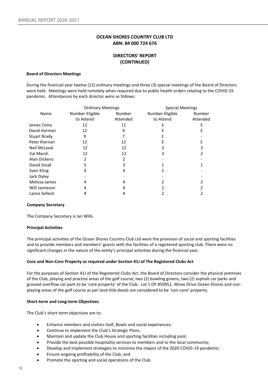# **OCEAN SHORES COUNTRY CLUB LTD ABN: 84 000 724 676 ABN: 84 000 724 676 DIRECTORS' REPORT**

**OCHAN SHORES COUNTRY CLUB LTD** 

# **DIRECTORS' REPORT (CONTINUED) (CONTINUED)**

## **Board of Directors Meetings** During the financial year twelve (12) ordinary meetings and three (3) special meetings of the Board of Directors

During the financial year twelve (12) ordinary meetings and three (3) special meetings of the Board of Directors were held. Meetings were held remotely when required due to public health orders relating to the COVID-19 pandemic. Attendances by each director were as follows:

| <b>Ordinary Meetings</b> |                 | <b>Special Meetings</b> |                 |          |
|--------------------------|-----------------|-------------------------|-----------------|----------|
| Name                     | Number Eligible | Number                  | Number Eligible | Number   |
|                          | to Attend       | Attended                | to Attend       | Attended |
| James Cotta              | 12              | 11                      | 3               | 3        |
| David Harman             | 12              | 9                       |                 | 3        |
| Stuart Brady             | 9               |                         |                 |          |
| Peter Kiernan            | 12              | 12                      |                 | 3        |
| Neil McLeod              | 12              | 12                      |                 |          |
| Val Marsh                | 12              | 12                      | 3               |          |
| Alan Dickens             | 2               | 2                       |                 |          |
| David Small              | 5               | ੨                       |                 |          |
| Sven Kling               | 4               | 4                       |                 |          |
| Jack Daley               |                 |                         |                 |          |
| Melissa James            | 4               | 4                       |                 |          |
| Will Jamieson            | 4               |                         |                 |          |
| Lance Selleck            |                 |                         |                 |          |

## **Company Secretary**

**Company Secretary** The Company Secretary is Ian Wills.

#### **Principal Activities**

**Principal Activities** The principal activities of the Ocean Shores Country Club Ltd were the provision of social and sporting facilities significant changes in the nature of the entity's principal activities during the financial year. and to provide members and members' guests with the facilities of a registered sporting club. There were no

#### Core and Non-Core Property as required under Section 41J of The Registered Clubs Act

For the purposes of Section 41J of the Registered Clubs Act, the Board of Directors consider the physical premises grassed overflow car park to be 'core property' of the Club. Lot 1 DP 859951, Wiree Drive Ocean Shores and nonplaying areas of the golf course as per land title deeds are considered to be 'non-core' property. of the Club, playing and practice areas of the golf course, two (2) bowling greens, two (2) asphalt car parks and

#### playing areas of the golf course as per land title deeds are considered to be 'non-core' property. **Short-term and Long-term Objectives**

The Club's short-term objectives are to:

- Enhance members and visitors Golf, Bowls and social experiences;
	- Continue to implement the Club's Strategic Plans;
	- Maintain and update the Club House and sporting facilities including pool;
	- Provide the best possible hospitality services to members and to the local community;
	- Develop and implement strategies to minimise the impact of the 2020 COVID-19 pandemic;
	- Ensure ongoing profitability of the Club; and to the state community;  $\bullet$
	- Promote the sporting and social operations of the Club.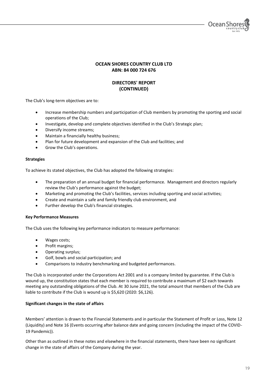

## **DIRECTORS' REPORT (CONTINUED)**

The Club's long-term objectives are to:

- Increase membership numbers and participation of Club members by promoting the sporting and social operations of the Club;
- Investigate, develop and complete objectives identified in the Club's Strategic plan;
- Diversify income streams;
- Maintain a financially healthy business;
- Plan for future development and expansion of the Club and facilities; and
- Grow the Club's operations.

#### **Strategies**

To achieve its stated objectives, the Club has adopted the following strategies:

- The preparation of an annual budget for financial performance. Management and directors regularly review the Club's performance against the budget;
- Marketing and promoting the Club's facilities, services including sporting and social activities;
- Create and maintain a safe and family friendly club environment, and
- Further develop the Club's financial strategies.

#### **Key Performance Measures**

The Club uses the following key performance indicators to measure performance:

- Wages costs;
- Profit margins;
- Operating surplus;
- Golf, bowls and social participation; and
- Comparisons to industry benchmarking and budgeted performances.

The Club is incorporated under the Corporations Act 2001 and is a company limited by guarantee. If the Club is wound up, the constitution states that each member is required to contribute a maximum of \$2 each towards meeting any outstanding obligations of the Club. At 30 June 2021, the total amount that members of the Club are liable to contribute if the Club is wound up is \$5,620 (2020: \$6,126).

#### **Significant changes in the state of affairs**

Members' attention is drawn to the Financial Statements and in particular the Statement of Profit or Loss, Note 12 (Liquidity) and Note 16 (Events occurring after balance date and going concern (including the impact of the COVID-19 Pandemic)).

Other than as outlined in these notes and elsewhere in the financial statements, there have been no significant change in the state of affairs of the Company during the year.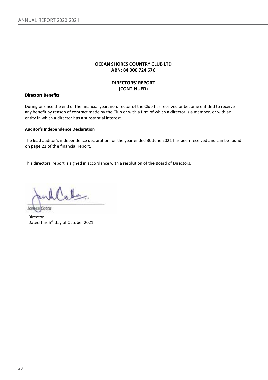## **DIRECTORS' REPORT (CONTINUED)**

#### **Directors Benefits**

During or since the end of the financial year, no director of the Club has received or become entitled to receive any benefit by reason of contract made by the Club or with a firm of which a director is a member, or with an entity in which a director has a substantial interest.

#### **Auditor's Independence Declaration**

The lead auditor's independence declaration for the year ended 30 June 2021 has been received and can be found on page 21 of the financial report.

This directors' report is signed in accordance with a resolution of the Board of Directors.

 $k$ James Cotta

Director Dated this 5th day of October 2021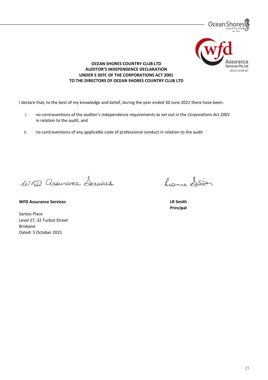



### **OCEAN SHORES COUNTRY CLUB LTD AUDITOR'S INDEPENDENCE DECLARATION UNDER S 307C OF THE CORPORATIONS ACT 2001 TO THE DIRECTORS OF OCEAN SHORES COUNTRY CLUB LTD**

I declare that, to the best of my knowledge and belief, during the year ended 30 June 2021 there have been:

- i. no contraventions of the auditor's independence requirements as set out in the *Corporations Act 2001* in relation to the audit; and
- ii. no contraventions of any applicable code of professional conduct in relation to the audit

WFD assurance Services

**WFD Assurance Services LR Smith**

Santos Place Level 27, 32 Turbot Street Brisbane Dated: 5 October 2021

hame Sixt

**Principal**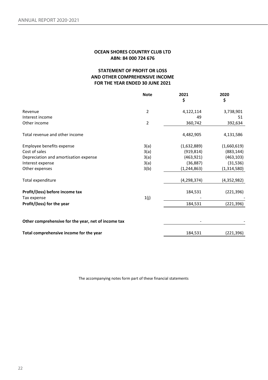## **STATEMENT OF PROFIT OR LOSS AND OTHER COMPREHENSIVE INCOME FOR THE YEAR ENDED 30 JUNE 2021**

|                                                     | <b>Note</b>    | 2021          | 2020        |
|-----------------------------------------------------|----------------|---------------|-------------|
|                                                     |                | \$            | \$          |
| Revenue                                             | $\overline{2}$ | 4,122,114     | 3,738,901   |
| Interest income                                     |                | 49            | 51          |
| Other income                                        | $\overline{2}$ | 360,742       | 392,634     |
| Total revenue and other income                      |                | 4,482,905     | 4,131,586   |
| Employee benefits expense                           | 3(a)           | (1,632,889)   | (1,660,619) |
| Cost of sales                                       | 3(a)           | (919, 814)    | (883, 144)  |
| Depreciation and amortisation expense               | 3(a)           | (463, 921)    | (463, 103)  |
| Interest expense                                    | 3(a)           | (36, 887)     | (31, 536)   |
| Other expenses                                      | 3(b)           | (1, 244, 863) | (1,314,580) |
| Total expenditure                                   |                | (4, 298, 374) | (4,352,982) |
| Profit/(loss) before income tax                     |                | 184,531       | (221, 396)  |
| Tax expense                                         | 1(j)           |               |             |
| Profit/(loss) for the year                          |                | 184,531       | (221, 396)  |
| Other comprehensive for the year, net of income tax |                |               |             |
| Total comprehensive income for the year             |                | 184,531       | (221, 396)  |

The accompanying notes form part of these financial statements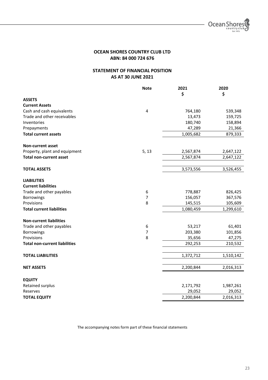## **STATEMENT OF FINANCIAL POSITION AS AT 30 JUNE 2021**

| \$<br>\$<br><b>Current Assets</b><br>4<br>539,348<br>764,180<br>Trade and other receivables<br>13,473<br>159,725<br>180,740<br>158,894<br>47,289<br>21,366<br>1,005,682<br><b>Total current assets</b><br>879,333<br>Non-current asset<br>Property, plant and equipment<br>5, 13<br>2,567,874<br>2,647,122<br><b>Total non-current asset</b><br>2,567,874<br>2,647,122<br><b>TOTAL ASSETS</b><br>3,573,556<br>3,526,455<br>6<br>Trade and other payables<br>778,887<br>826,425<br>7<br>156,057<br>367,576<br><b>Borrowings</b><br>Provisions<br>8<br>145,515<br>105,609<br><b>Total current liabilities</b><br>1,080,459<br>1,299,610<br><b>Non-current liabilities</b><br>6<br>53,217<br>Trade and other payables<br>61,401<br>7<br>203,380<br><b>Borrowings</b><br>101,856<br>Provisions<br>8<br>35,656<br>47,275<br><b>Total non-current liabilities</b><br>292,253<br>210,532<br><b>TOTAL LIABILITIES</b><br>1,372,712<br>1,510,142<br><b>NET ASSETS</b><br>2,200,844<br>2,016,313 |                            | <b>Note</b> | 2021 | 2020 |
|----------------------------------------------------------------------------------------------------------------------------------------------------------------------------------------------------------------------------------------------------------------------------------------------------------------------------------------------------------------------------------------------------------------------------------------------------------------------------------------------------------------------------------------------------------------------------------------------------------------------------------------------------------------------------------------------------------------------------------------------------------------------------------------------------------------------------------------------------------------------------------------------------------------------------------------------------------------------------------------|----------------------------|-------------|------|------|
|                                                                                                                                                                                                                                                                                                                                                                                                                                                                                                                                                                                                                                                                                                                                                                                                                                                                                                                                                                                        |                            |             |      |      |
|                                                                                                                                                                                                                                                                                                                                                                                                                                                                                                                                                                                                                                                                                                                                                                                                                                                                                                                                                                                        | <b>ASSETS</b>              |             |      |      |
|                                                                                                                                                                                                                                                                                                                                                                                                                                                                                                                                                                                                                                                                                                                                                                                                                                                                                                                                                                                        |                            |             |      |      |
|                                                                                                                                                                                                                                                                                                                                                                                                                                                                                                                                                                                                                                                                                                                                                                                                                                                                                                                                                                                        | Cash and cash equivalents  |             |      |      |
|                                                                                                                                                                                                                                                                                                                                                                                                                                                                                                                                                                                                                                                                                                                                                                                                                                                                                                                                                                                        |                            |             |      |      |
|                                                                                                                                                                                                                                                                                                                                                                                                                                                                                                                                                                                                                                                                                                                                                                                                                                                                                                                                                                                        | Inventories                |             |      |      |
|                                                                                                                                                                                                                                                                                                                                                                                                                                                                                                                                                                                                                                                                                                                                                                                                                                                                                                                                                                                        | Prepayments                |             |      |      |
|                                                                                                                                                                                                                                                                                                                                                                                                                                                                                                                                                                                                                                                                                                                                                                                                                                                                                                                                                                                        |                            |             |      |      |
|                                                                                                                                                                                                                                                                                                                                                                                                                                                                                                                                                                                                                                                                                                                                                                                                                                                                                                                                                                                        |                            |             |      |      |
|                                                                                                                                                                                                                                                                                                                                                                                                                                                                                                                                                                                                                                                                                                                                                                                                                                                                                                                                                                                        |                            |             |      |      |
|                                                                                                                                                                                                                                                                                                                                                                                                                                                                                                                                                                                                                                                                                                                                                                                                                                                                                                                                                                                        |                            |             |      |      |
|                                                                                                                                                                                                                                                                                                                                                                                                                                                                                                                                                                                                                                                                                                                                                                                                                                                                                                                                                                                        |                            |             |      |      |
|                                                                                                                                                                                                                                                                                                                                                                                                                                                                                                                                                                                                                                                                                                                                                                                                                                                                                                                                                                                        |                            |             |      |      |
|                                                                                                                                                                                                                                                                                                                                                                                                                                                                                                                                                                                                                                                                                                                                                                                                                                                                                                                                                                                        | <b>LIABILITIES</b>         |             |      |      |
|                                                                                                                                                                                                                                                                                                                                                                                                                                                                                                                                                                                                                                                                                                                                                                                                                                                                                                                                                                                        | <b>Current liabilities</b> |             |      |      |
|                                                                                                                                                                                                                                                                                                                                                                                                                                                                                                                                                                                                                                                                                                                                                                                                                                                                                                                                                                                        |                            |             |      |      |
|                                                                                                                                                                                                                                                                                                                                                                                                                                                                                                                                                                                                                                                                                                                                                                                                                                                                                                                                                                                        |                            |             |      |      |
|                                                                                                                                                                                                                                                                                                                                                                                                                                                                                                                                                                                                                                                                                                                                                                                                                                                                                                                                                                                        |                            |             |      |      |
|                                                                                                                                                                                                                                                                                                                                                                                                                                                                                                                                                                                                                                                                                                                                                                                                                                                                                                                                                                                        |                            |             |      |      |
|                                                                                                                                                                                                                                                                                                                                                                                                                                                                                                                                                                                                                                                                                                                                                                                                                                                                                                                                                                                        |                            |             |      |      |
|                                                                                                                                                                                                                                                                                                                                                                                                                                                                                                                                                                                                                                                                                                                                                                                                                                                                                                                                                                                        |                            |             |      |      |
|                                                                                                                                                                                                                                                                                                                                                                                                                                                                                                                                                                                                                                                                                                                                                                                                                                                                                                                                                                                        |                            |             |      |      |
|                                                                                                                                                                                                                                                                                                                                                                                                                                                                                                                                                                                                                                                                                                                                                                                                                                                                                                                                                                                        |                            |             |      |      |
|                                                                                                                                                                                                                                                                                                                                                                                                                                                                                                                                                                                                                                                                                                                                                                                                                                                                                                                                                                                        |                            |             |      |      |
|                                                                                                                                                                                                                                                                                                                                                                                                                                                                                                                                                                                                                                                                                                                                                                                                                                                                                                                                                                                        |                            |             |      |      |
|                                                                                                                                                                                                                                                                                                                                                                                                                                                                                                                                                                                                                                                                                                                                                                                                                                                                                                                                                                                        |                            |             |      |      |
|                                                                                                                                                                                                                                                                                                                                                                                                                                                                                                                                                                                                                                                                                                                                                                                                                                                                                                                                                                                        |                            |             |      |      |
|                                                                                                                                                                                                                                                                                                                                                                                                                                                                                                                                                                                                                                                                                                                                                                                                                                                                                                                                                                                        | <b>EQUITY</b>              |             |      |      |
| Retained surplus<br>2,171,792<br>1,987,261                                                                                                                                                                                                                                                                                                                                                                                                                                                                                                                                                                                                                                                                                                                                                                                                                                                                                                                                             |                            |             |      |      |
| 29,052<br>29,052<br>Reserves                                                                                                                                                                                                                                                                                                                                                                                                                                                                                                                                                                                                                                                                                                                                                                                                                                                                                                                                                           |                            |             |      |      |
| 2,200,844<br>2,016,313<br><b>TOTAL EQUITY</b>                                                                                                                                                                                                                                                                                                                                                                                                                                                                                                                                                                                                                                                                                                                                                                                                                                                                                                                                          |                            |             |      |      |

The accompanying notes form part of these financial statements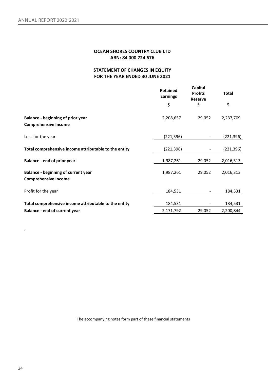#### **OCEAN SHORES COUNTRY CLUB LTD ABN: 84 000 724 676**  $\frac{1}{2}$   $\frac{1}{2}$   $\frac{1}{2}$   $\frac{1}{2}$   $\frac{1}{2}$   $\frac{1}{2}$   $\frac{1}{2}$   $\frac{1}{2}$   $\frac{1}{2}$   $\frac{1}{2}$   $\frac{1}{2}$   $\frac{1}{2}$   $\frac{1}{2}$   $\frac{1}{2}$   $\frac{1}{2}$   $\frac{1}{2}$   $\frac{1}{2}$   $\frac{1}{2}$   $\frac{1}{2}$   $\frac{1}{2}$   $\frac{1}{2}$   $\frac{1}{2}$

**FOR THE YEAR ENDED 30 JUNE 2021**

# **STATEMENT OF CHANGES IN EQUITY FOR THE YEAR ENDED 30 JUNE 2021**

|                                                                                        | Retained<br>Earnings | Capital<br><b>Profits</b><br>Reserve | <b>Total</b>         |
|----------------------------------------------------------------------------------------|----------------------|--------------------------------------|----------------------|
|                                                                                        | \$                   | \$                                   | \$                   |
| Balance - beginning of prior year<br><b>Comprehensive Income</b>                       | 2,208,657            | 29,052                               | 2,237,709            |
| Loss for the year                                                                      | (221, 396)           |                                      | (221, 396)           |
| Total comprehensive income attributable to the entity                                  | (221, 396)           |                                      | (221, 396)           |
| Balance - end of prior year                                                            | 1,987,261            | 29,052                               | 2,016,313            |
| Balance - beginning of current year<br><b>Comprehensive Income</b>                     | 1,987,261            | 29,052                               | 2,016,313            |
| Profit for the year                                                                    | 184,531              |                                      | 184,531              |
| Total comprehensive income attributable to the entity<br>Balance - end of current year | 184,531<br>2,171,792 | 29,052                               | 184,531<br>2,200,844 |

The accompanying notes form part of these financial statements

.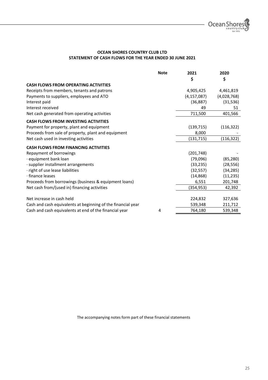## **OCEAN SHORES COUNTRY CLUB LTD STATEMENT OF CASH FLOWS FOR THE YEAR ENDED 30 JUNE 2021**

**FOR THE YEAR ENDED 30 JUNE 2021**

|                                                              | Note | 2021          | 2020        |
|--------------------------------------------------------------|------|---------------|-------------|
|                                                              |      | \$            | \$          |
| <b>CASH FLOWS FROM OPERATING ACTIVITIES</b>                  |      |               |             |
| Receipts from members, tenants and patrons                   |      | 4,905,425     | 4,461,819   |
| Payments to suppliers, employees and ATO                     |      | (4, 157, 087) | (4,028,768) |
| Interest paid                                                |      | (36, 887)     | (31, 536)   |
| Interest received                                            |      | 49            | 51          |
| Net cash generated from operating activities                 |      | 711,500       | 401,566     |
| <b>CASH FLOWS FROM INVESTING ACTIVITIES</b>                  |      |               |             |
| Payment for property, plant and equipment                    |      | (139, 715)    | (116, 322)  |
| Proceeds from sale of property, plant and equipment          |      | 8,000         |             |
| Net cash used in investing activities                        |      | (131, 715)    | (116, 322)  |
| <b>CASH FLOWS FROM FINANCING ACTIVITIES</b>                  |      |               |             |
| Repayment of borrowings                                      |      | (201, 748)    |             |
| equipment bank loan                                          |      | (79,096)      | (85, 280)   |
| · supplier installment arrangements                          |      | (33, 235)     | (28, 556)   |
| · right of use lease liabilities                             |      | (32, 557)     | (34, 285)   |
| · finance leases                                             |      | (14, 868)     | (11, 235)   |
| Proceeds from borrowings (business & equipment loans)        |      | 6,551         | 201,748     |
| Net cash from/(used in) financing activities                 |      | (354,953)     | 42,392      |
| Net increase in cash held                                    |      | 224,832       | 327,636     |
| Cash and cash equivalents at beginning of the financial year |      | 539,348       | 211,712     |
| Cash and cash equivalents at end of the financial year       | 4    | 764,180       | 539,348     |
|                                                              |      |               |             |

The accompanying notes form part of these financial statements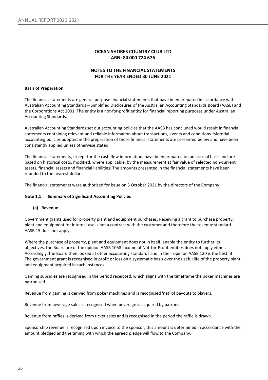## **NOTES TO THE FINANCIAL STATEMENTS FOR THE YEAR ENDED 30 JUNE 2021**

#### **Basis of Preparation**

The financial statements are general purpose financial statements that have been prepared in accordance with Australian Accounting Standards – Simplified Disclosures of the Australian Accounting Standards Board (AASB) and the Corporations Act 2001. The entity is a not-for-profit entity for financial reporting purposes under Australian Accounting Standards.

Australian Accounting Standards set out accounting policies that the AASB has concluded would result in financial statements containing relevant and reliable information about transactions, events and conditions. Material accounting policies adopted in the preparation of these financial statements are presented below and have been consistently applied unless otherwise stated.

The financial statements, except for the cash flow information, have been prepared on an accrual basis and are based on historical costs, modified, where applicable, by the measurement at fair value of selected non-current assets, financial assets and financial liabilities. The amounts presented in the financial statements have been rounded to the nearest dollar.

The financial statements were authorised for issue on 5 October 2021 by the directors of the Company.

#### **Note 1.1 Summary of Significant Accounting Policies**

#### **(a) Revenue**

Government grants used for property plant and equipment purchases. Receiving a grant to purchase property, plant and equipment for internal use is not a contract with the customer and therefore the revenue standard AASB 15 does not apply.

Where the purchase of property, plant and equipment does not in itself, enable the entity to further its objectives, the Board are of the opinion AASB 1058 Income of Not-for-Profit entities does not apply either. Accordingly, the Board then looked at other accounting standards and in their opinion AASB 120 is the best fit. The government grant is recognised in profit or loss on a systematic basis over the useful life of the property plant and equipment acquired in such instances.

Gaming subsidies are recognised in the period receipted, which aligns with the timeframe the poker machines are patronised.

Revenue from gaming is derived from poker machines and is recognised 'net' of payouts to players.

Revenue from beverage sales is recognised when beverage is acquired by patrons.

Revenue from raffles is derived from ticket sales and is recognised in the period the raffle is drawn.

Sponsorship revenue is recognised upon invoice to the sponsor; this amount is determined in accordance with the amount pledged and the timing with which the agreed pledge will flow to the Company.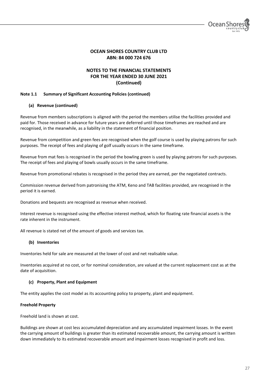

## **NOTES TO THE FINANCIAL STATEMENTS FOR THE YEAR ENDED 30 JUNE 2021 (Continued)**

#### **Note 1.1 Summary of Significant Accounting Policies (continued)**

#### **(a) Revenue (continued)**

Revenue from members subscriptions is aligned with the period the members utilise the facilities provided and paid for. Those received in advance for future years are deferred until those timeframes are reached and are recognised, in the meanwhile, as a liability in the statement of financial position.

Revenue from competition and green fees are recognised when the golf course is used by playing patrons for such purposes. The receipt of fees and playing of golf usually occurs in the same timeframe.

Revenue from mat fees is recognised in the period the bowling green is used by playing patrons for such purposes. The receipt of fees and playing of bowls usually occurs in the same timeframe.

Revenue from promotional rebates is recognised in the period they are earned, per the negotiated contracts.

Commission revenue derived from patronising the ATM, Keno and TAB facilities provided, are recognised in the period it is earned.

Donations and bequests are recognised as revenue when received.

Interest revenue is recognised using the effective interest method, which for floating rate financial assets is the rate inherent in the instrument.

All revenue is stated net of the amount of goods and services tax.

#### **(b) Inventories**

Inventories held for sale are measured at the lower of cost and net realisable value.

Inventories acquired at no cost, or for nominal consideration, are valued at the current replacement cost as at the date of acquisition.

#### **(c) Property, Plant and Equipment**

The entity applies the cost model as its accounting policy to property, plant and equipment.

#### **Freehold Property**

Freehold land is shown at cost.

Buildings are shown at cost less accumulated depreciation and any accumulated impairment losses. In the event the carrying amount of buildings is greater than its estimated recoverable amount, the carrying amount is written down immediately to its estimated recoverable amount and impairment losses recognised in profit and loss.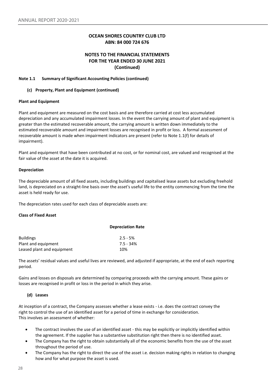## **NOTES TO THE FINANCIAL STATEMENTS FOR THE YEAR ENDED 30 JUNE 2021 (Continued)**

#### **Note 1.1 Summary of Significant Accounting Policies (continued)**

#### **(c) Property, Plant and Equipment (continued)**

#### **Plant and Equipment**

Plant and equipment are measured on the cost basis and are therefore carried at cost less accumulated depreciation and any accumulated impairment losses. In the event the carrying amount of plant and equipment is greater than the estimated recoverable amount, the carrying amount is written down immediately to the estimated recoverable amount and impairment losses are recognised in profit or loss. A formal assessment of recoverable amount is made when impairment indicators are present (refer to Note 1.1(f) for details of impairment).

Plant and equipment that have been contributed at no cost, or for nominal cost, are valued and recognised at the fair value of the asset at the date it is acquired.

#### **Depreciation**

The depreciable amount of all fixed assets, including buildings and capitalised lease assets but excluding freehold land, is depreciated on a straight-line basis over the asset's useful life to the entity commencing from the time the asset is held ready for use.

The depreciation rates used for each class of depreciable assets are:

#### **Class of Fixed Asset**

#### **Depreciation Rate**

| <b>Buildings</b>           | $2.5 - 5%$ |
|----------------------------|------------|
| Plant and equipment        | 7.5 - 34%  |
| Leased plant and equipment | 10%        |

The assets' residual values and useful lives are reviewed, and adjusted if appropriate, at the end of each reporting period.

Gains and losses on disposals are determined by comparing proceeds with the carrying amount. These gains or losses are recognised in profit or loss in the period in which they arise.

#### **(d) Leases**

At inception of a contract, the Company assesses whether a lease exists - i.e. does the contract convey the right to control the use of an identified asset for a period of time in exchange for consideration. This involves an assessment of whether:

- The contract involves the use of an identified asset this may be explicitly or implicitly identified within the agreement. If the supplier has a substantive substitution right then there is no identified asset.
- The Company has the right to obtain substantially all of the economic benefits from the use of the asset throughout the period of use.
- The Company has the right to direct the use of the asset i.e. decision making rights in relation to changing how and for what purpose the asset is used.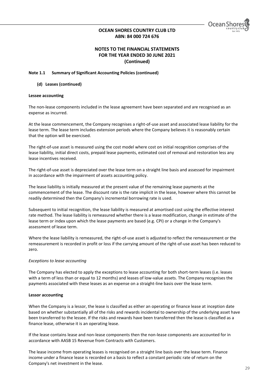

## **NOTES TO THE FINANCIAL STATEMENTS FOR THE YEAR ENDED 30 JUNE 2021 (Continued)**

#### **Note 1.1 Summary of Significant Accounting Policies (continued)**

#### **(d) Leases (continued)**

#### **Lessee accounting**

The non-lease components included in the lease agreement have been separated and are recognised as an expense as incurred.

At the lease commencement, the Company recognises a right-of-use asset and associated lease liability for the lease term. The lease term includes extension periods where the Company believes it is reasonably certain that the option will be exercised.

The right-of-use asset is measured using the cost model where cost on initial recognition comprises of the lease liability, initial direct costs, prepaid lease payments, estimated cost of removal and restoration less any lease incentives received.

The right-of-use asset is depreciated over the lease term on a straight line basis and assessed for impairment in accordance with the impairment of assets accounting policy.

The lease liability is initially measured at the present value of the remaining lease payments at the commencement of the lease. The discount rate is the rate implicit in the lease, however where this cannot be readily determined then the Company's incremental borrowing rate is used.

Subsequent to initial recognition, the lease liability is measured at amortised cost using the effective interest rate method. The lease liability is remeasured whether there is a lease modification, change in estimate of the lease term or index upon which the lease payments are based (e.g. CPI) or a change in the Company's assessment of lease term.

Where the lease liability is remeasured, the right-of-use asset is adjusted to reflect the remeasurement or the remeasurement is recorded in profit or loss if the carrying amount of the right-of-use asset has been reduced to zero.

#### *Exceptions to lease accounting*

The Company has elected to apply the exceptions to lease accounting for both short-term leases (i.e. leases with a term of less than or equal to 12 months) and leases of low-value assets. The Company recognises the payments associated with these leases as an expense on a straight-line basis over the lease term.

#### **Lessor accounting**

When the Company is a lessor, the lease is classified as either an operating or finance lease at inception date based on whether substantially all of the risks and rewards incidental to ownership of the underlying asset have been transferred to the lessee. If the risks and rewards have been transferred then the lease is classified as a finance lease, otherwise it is an operating lease.

If the lease contains lease and non-lease components then the non-lease components are accounted for in accordance with AASB 15 Revenue from Contracts with Customers.

The lease income from operating leases is recognised on a straight line basis over the lease term. Finance income under a finance lease is recorded on a basis to reflect a constant periodic rate of return on the Company's net investment in the lease.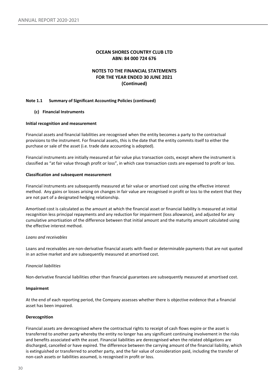## **NOTES TO THE FINANCIAL STATEMENTS FOR THE YEAR ENDED 30 JUNE 2021 (Continued)**

#### **Note 1.1 Summary of Significant Accounting Policies (continued)**

#### **(c) Financial Instruments**

#### **Initial recognition and measurement**

Financial assets and financial liabilities are recognised when the entity becomes a party to the contractual provisions to the instrument. For financial assets, this is the date that the entity commits itself to either the purchase or sale of the asset (i.e. trade date accounting is adopted).

Financial instruments are initially measured at fair value plus transaction costs, except where the instrument is classified as "at fair value through profit or loss", in which case transaction costs are expensed to profit or loss.

#### **Classification and subsequent measurement**

Financial instruments are subsequently measured at fair value or amortised cost using the effective interest method. Any gains or losses arising on changes in fair value are recognised in profit or loss to the extent that they are not part of a designated hedging relationship.

Amortised cost is calculated as the amount at which the financial asset or financial liability is measured at initial recognition less principal repayments and any reduction for impairment (loss allowance), and adjusted for any cumulative amortisation of the difference between that initial amount and the maturity amount calculated using the effective interest method.

#### *Loans and receivables*

Loans and receivables are non-derivative financial assets with fixed or determinable payments that are not quoted in an active market and are subsequently measured at amortised cost.

#### *Financial liabilities*

Non-derivative financial liabilities other than financial guarantees are subsequently measured at amortised cost.

#### **Impairment**

At the end of each reporting period, the Company assesses whether there is objective evidence that a financial asset has been impaired.

## **Derecognition**

Financial assets are derecognised where the contractual rights to receipt of cash flows expire or the asset is transferred to another party whereby the entity no longer has any significant continuing involvement in the risks and benefits associated with the asset. Financial liabilities are derecognised when the related obligations are discharged, cancelled or have expired. The difference between the carrying amount of the financial liability, which is extinguished or transferred to another party, and the fair value of consideration paid, including the transfer of non-cash assets or liabilities assumed, is recognised in profit or loss.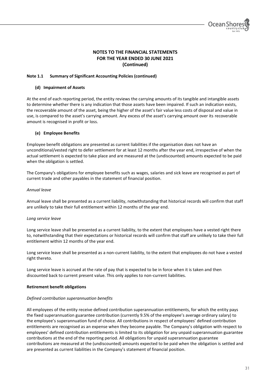

## **NOTES TO THE FINANCIAL STATEMENTS FOR THE YEAR ENDED 30 JUNE 2021 (Continued)**

#### **Note 1.1 Summary of Significant Accounting Policies (continued)**

#### **(d) Impairment of Assets**

At the end of each reporting period, the entity reviews the carrying amounts of its tangible and intangible assets to determine whether there is any indication that those assets have been impaired. If such an indication exists, the recoverable amount of the asset, being the higher of the asset's fair value less costs of disposal and value in use, is compared to the asset's carrying amount. Any excess of the asset's carrying amount over its recoverable amount is recognised in profit or loss.

#### **(e) Employee Benefits**

Employee benefit obligations are presented as current liabilities if the organisation does not have an unconditional/vested right to defer settlement for at least 12 months after the year end, irrespective of when the actual settlement is expected to take place and are measured at the (undiscounted) amounts expected to be paid when the obligation is settled.

The Company's obligations for employee benefits such as wages, salaries and sick leave are recognised as part of current trade and other payables in the statement of financial position.

#### *Annual leave*

Annual leave shall be presented as a current liability, notwithstanding that historical records will confirm that staff are unlikely to take their full entitlement within 12 months of the year end.

#### *Long service leave*

Long service leave shall be presented as a current liability, to the extent that employees have a vested right there to, notwithstanding that their expectations or historical records will confirm that staff are unlikely to take their full entitlement within 12 months of the year end.

Long service leave shall be presented as a non-current liability, to the extent that employees do not have a vested right thereto.

Long service leave is accrued at the rate of pay that is expected to be in force when it is taken and then discounted back to current present value. This only applies to non-current liabilities.

#### **Retirement benefit obligations**

#### *Defined contribution superannuation benefits*

All employees of the entity receive defined contribution superannuation entitlements, for which the entity pays the fixed superannuation guarantee contribution (currently 9.5% of the employee's average ordinary salary) to the employee's superannuation fund of choice. All contributions in respect of employees' defined contribution entitlements are recognised as an expense when they become payable. The Company's obligation with respect to employees' defined contribution entitlements is limited to its obligation for any unpaid superannuation guarantee contributions at the end of the reporting period. All obligations for unpaid superannuation guarantee contributions are measured at the (undiscounted) amounts expected to be paid when the obligation is settled and are presented as current liabilities in the Company's statement of financial position.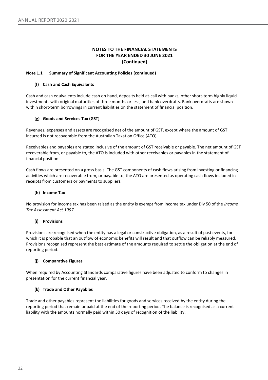## **NOTES TO THE FINANCIAL STATEMENTS FOR THE YEAR ENDED 30 JUNE 2021 (Continued)**

#### **Note 1.1 Summary of Significant Accounting Policies (continued)**

#### **(f) Cash and Cash Equivalents**

Cash and cash equivalents include cash on hand, deposits held at-call with banks, other short-term highly liquid investments with original maturities of three months or less, and bank overdrafts. Bank overdrafts are shown within short-term borrowings in current liabilities on the statement of financial position.

#### **(g) Goods and Services Tax (GST)**

Revenues, expenses and assets are recognised net of the amount of GST, except where the amount of GST incurred is not recoverable from the Australian Taxation Office (ATO).

Receivables and payables are stated inclusive of the amount of GST receivable or payable. The net amount of GST recoverable from, or payable to, the ATO is included with other receivables or payables in the statement of financial position.

Cash flows are presented on a gross basis. The GST components of cash flows arising from investing or financing activities which are recoverable from, or payable to, the ATO are presented as operating cash flows included in receipts from customers or payments to suppliers.

#### **(h) Income Tax**

No provision for income tax has been raised as the entity is exempt from income tax under Div 50 of the *Income Tax Assessment Act 1997*.

#### **(i) Provisions**

Provisions are recognised when the entity has a legal or constructive obligation, as a result of past events, for which it is probable that an outflow of economic benefits will result and that outflow can be reliably measured. Provisions recognised represent the best estimate of the amounts required to settle the obligation at the end of reporting period.

#### **(j) Comparative Figures**

When required by Accounting Standards comparative figures have been adjusted to conform to changes in presentation for the current financial year.

#### **(k) Trade and Other Payables**

Trade and other payables represent the liabilities for goods and services received by the entity during the reporting period that remain unpaid at the end of the reporting period. The balance is recognised as a current liability with the amounts normally paid within 30 days of recognition of the liability.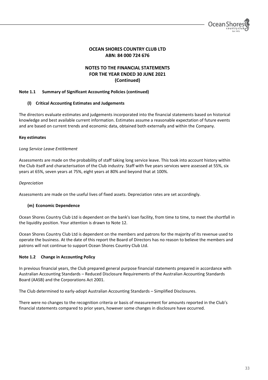

## **NOTES TO THE FINANCIAL STATEMENTS FOR THE YEAR ENDED 30 JUNE 2021 (Continued)**

#### **Note 1.1 Summary of Significant Accounting Policies (continued)**

#### **(l) Critical Accounting Estimates and Judgements**

The directors evaluate estimates and judgements incorporated into the financial statements based on historical knowledge and best available current information. Estimates assume a reasonable expectation of future events and are based on current trends and economic data, obtained both externally and within the Company.

#### **Key estimates**

#### *Long Service Leave Entitlement*

Assessments are made on the probability of staff taking long service leave. This took into account history within the Club itself and characterisation of the Club industry. Staff with five years services were assessed at 55%, six years at 65%, seven years at 75%, eight years at 80% and beyond that at 100%.

#### *Depreciation*

Assessments are made on the useful lives of fixed assets. Depreciation rates are set accordingly.

#### **(m) Economic Dependence**

Ocean Shores Country Club Ltd is dependent on the bank's loan facility, from time to time, to meet the shortfall in the liquidity position. Your attention is drawn to Note 12.

Ocean Shores Country Club Ltd is dependent on the members and patrons for the majority of its revenue used to operate the business. At the date of this report the Board of Directors has no reason to believe the members and patrons will not continue to support Ocean Shores Country Club Ltd.

#### **Note 1.2 Change in Accounting Policy**

In previous financial years, the Club prepared general purpose financial statements prepared in accordance with Australian Accounting Standards – Reduced Disclosure Requirements of the Australian Accounting Standards Board (AASB) and the Corporations Act 2001.

The Club determined to early-adopt Australian Accounting Standards – Simplified Disclosures.

There were no changes to the recognition criteria or basis of measurement for amounts reported in the Club's financial statements compared to prior years, however some changes in disclosure have occurred.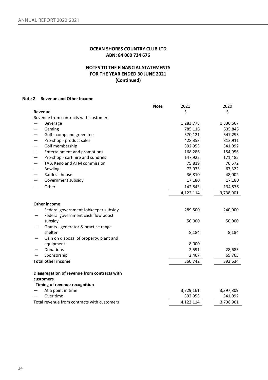## **NOTES TO THE FINANCIAL STATEMENTS FOR THE YEAR ENDED 30 JUNE 2021 (Continued)**

## **Note 2 Revenue and Other Income**

|                                              | Note | 2021      | 2020      |
|----------------------------------------------|------|-----------|-----------|
| Revenue                                      |      | Ś         | \$        |
| Revenue from contracts with customers        |      |           |           |
| Beverage                                     |      | 1,283,778 | 1,330,667 |
| Gaming                                       |      | 785,116   | 535,845   |
| Golf - comp and green fees                   |      | 570,121   | 547,293   |
| Pro-shop - product sales                     |      | 428,353   | 313,911   |
| Golf membership                              |      | 392,953   | 341,092   |
| Entertainment and promotions                 |      | 168,286   | 154,956   |
| Pro-shop - cart hire and sundries            |      | 147,922   | 171,485   |
| TAB, Keno and ATM commission                 |      | 75,819    | 76,572    |
| <b>Bowling</b>                               |      | 72,933    | 67,322    |
| Raffles - house                              |      | 36,810    | 48,002    |
| Government subsidy                           |      | 17,180    | 17,180    |
| Other                                        |      | 142,843   | 134,576   |
|                                              |      | 4,122,114 | 3,738,901 |
|                                              |      |           |           |
| Other income                                 |      |           |           |
| Federal government Jobkeeper subsidy         |      | 289,500   | 240,000   |
| Federal government cash flow boost           |      |           |           |
| subsidy                                      |      | 50,000    | 50,000    |
| Grants - generator & practice range          |      |           |           |
| shelter                                      |      | 8,184     | 8,184     |
| Gain on disposal of property, plant and      |      |           |           |
| equipment                                    |      | 8,000     |           |
| Donations                                    |      | 2,591     | 28,685    |
| Sponsorship                                  |      | 2,467     | 65,765    |
| <b>Total other income</b>                    |      | 360,742   | 392,634   |
|                                              |      |           |           |
| Diaggregation of revenue from contracts with |      |           |           |
| customers                                    |      |           |           |
| Timing of revenue recognition                |      |           |           |
| At a point in time                           |      | 3,729,161 | 3,397,809 |
| Over time                                    |      | 392,953   | 341,092   |
| Total revenue from contracts with customers  |      | 4,122,114 | 3,738,901 |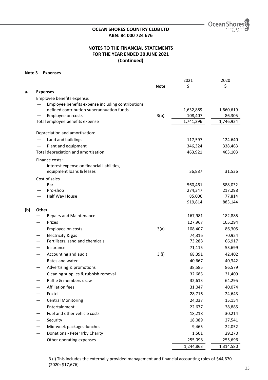

## **NOTES TO THE FINANCIAL STATEMENTS FOR THE YEAR ENDED 30 JUNE 2021 (Continued)**

## **Note 3 Expenses**

|     |       |                                                      |             | 2021                 | 2020                |
|-----|-------|------------------------------------------------------|-------------|----------------------|---------------------|
|     |       |                                                      | <b>Note</b> | \$                   | \$                  |
| a.  |       | <b>Expenses</b>                                      |             |                      |                     |
|     |       | Employee benefits expense:                           |             |                      |                     |
|     |       | Employee benefits expense including contributions    |             |                      |                     |
|     |       | defined contribution superannuation funds            |             | 1,632,889            | 1,660,619           |
|     |       | Employee on-costs<br>Total employee benefits expense | 3(b)        | 108,407<br>1,741,296 | 86,305<br>1,746,924 |
|     |       |                                                      |             |                      |                     |
|     |       | Depreciation and amortisation:                       |             |                      |                     |
|     |       | Land and buildings                                   |             | 117,597              | 124,640             |
|     |       | Plant and equipment                                  |             | 346,324              | 338,463             |
|     |       | Total depreciation and amortisation                  |             | 463,921              | 463,103             |
|     |       | Finance costs:                                       |             |                      |                     |
|     |       | interest expense on financial liabilities,           |             |                      |                     |
|     |       | equipment loans & leases                             |             | 36,887               | 31,536              |
|     |       | Cost of sales                                        |             |                      |                     |
|     |       | Bar                                                  |             | 560,461              | 588,032             |
|     |       | Pro-shop                                             |             | 274,347              | 217,298             |
|     |       | Half Way House                                       |             | 85,006               | 77,814              |
|     |       |                                                      |             | 919,814              | 883,144             |
| (b) | Other |                                                      |             |                      |                     |
|     |       | <b>Repairs and Maintenance</b>                       |             | 167,981              | 182,885             |
|     |       | Prizes                                               |             | 127,967              | 105,294             |
|     |       | Employee on costs                                    | 3(a)        | 108,407              | 86,305              |
|     |       | Electricity & gas                                    |             | 74,316               | 70,924              |
|     |       | Fertilisers, sand and chemicals                      |             | 73,288               | 66,917              |
|     |       | Insurance                                            |             | 71,115               | 53,699              |
|     |       | Accounting and audit                                 | 3(i)        | 68,391               | 42,402              |
|     |       | Rates and water                                      |             | 40,667               | 40,342              |
|     |       | Advertising & promotions                             |             | 38,585               | 86,579              |
|     |       | Cleaning supplies & rubbish removal                  |             | 32,685               | 31,409              |
|     |       | Raffle & members draw                                |             | 32,613               | 64,295              |
|     |       | <b>Affiliation fees</b>                              |             | 31,047               | 40,074              |
|     |       | Foxtel                                               |             | 28,716               | 24,643              |
|     |       | <b>Central Monitoring</b>                            |             | 24,037               | 15,154              |
|     |       | Entertainment                                        |             | 22,677               | 38,885              |
|     |       | Fuel and other vehicle costs                         |             | 18,218               | 30,214              |
|     |       | Security                                             |             | 18,089               | 27,541              |
|     |       | Mid-week packages-lunches                            |             | 9,465                | 22,052              |
|     |       | Donations - Peter Irby Charity                       |             | 1,501                | 29,270              |
|     |       | Other operating expenses                             |             | 255,098              | 255,696             |
|     |       |                                                      |             | 1,244,863            | 1,314,580           |

3 (i) This includes the externally provided management and financial accounting roles of \$44,670 (2020: \$17,676)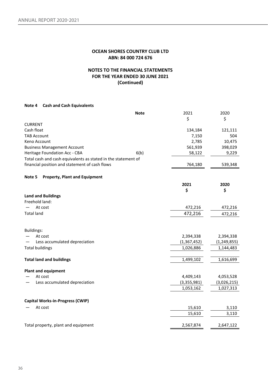## **NOTES TO THE FINANCIAL STATEMENTS FOR THE YEAR ENDED 30 JUNE 2021 (Continued)**

## **Note 4 Cash and Cash Equivalents**

|                                                               | Note | 2021          | 2020          |
|---------------------------------------------------------------|------|---------------|---------------|
|                                                               |      | \$            | \$            |
| <b>CURRENT</b>                                                |      |               |               |
| Cash float                                                    |      | 134,184       | 121,111       |
| <b>TAB Account</b>                                            |      | 7,150         | 504           |
| Keno Account                                                  |      | 2,785         | 10,475        |
| <b>Business Management Account</b>                            |      | 561,939       | 398,029       |
| Heritage Foundation Acc - CBA                                 | 6(b) | 58,122        | 9,229         |
| Total cash and cash equivalents as stated in the statement of |      |               |               |
| financial position and statement of cash flows                |      | 764,180       | 539,348       |
| <b>Property, Plant and Equipment</b><br>Note 5                |      |               |               |
|                                                               |      | 2021          | 2020          |
|                                                               |      | \$            | \$            |
| <b>Land and Buildings</b>                                     |      |               |               |
| Freehold land:                                                |      |               |               |
| At cost                                                       |      | 472,216       | 472,216       |
| <b>Total land</b>                                             |      | 472,216       | 472,216       |
|                                                               |      |               |               |
| Buildings:                                                    |      |               |               |
| At cost                                                       |      | 2,394,338     | 2,394,338     |
| Less accumulated depreciation                                 |      | (1, 367, 452) | (1, 249, 855) |
| <b>Total buildings</b>                                        |      | 1,026,886     | 1,144,483     |
|                                                               |      |               |               |
| <b>Total land and buildings</b>                               |      | 1,499,102     | 1,616,699     |
| <b>Plant and equipment</b>                                    |      |               |               |
| At cost                                                       |      | 4,409,143     | 4,053,528     |
| Less accumulated depreciation                                 |      | (3,355,981)   | (3,026,215)   |
|                                                               |      | 1,053,162     | 1,027,313     |
| Capital Works-in-Progress (CWIP)                              |      |               |               |
| At cost                                                       |      |               |               |
|                                                               |      | 15,610        | 3,110         |
|                                                               |      | 15,610        | 3,110         |
| Total property, plant and equipment                           |      | 2,567,874     | 2,647,122     |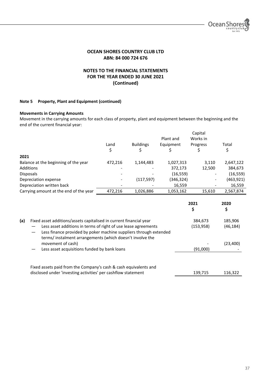

## **NOTES TO THE FINANCIAL STATEMENTS FOR THE YEAR ENDED 30 JUNE 2021 (Continued)**

#### **Note 5 Property, Plant and Equipment (continued)**

#### **Movements in Carrying Amounts**

Movement in the carrying amounts for each class of property, plant and equipment between the beginning and the end of the current financial year:

|                                        | Land<br>\$ | <b>Buildings</b> | Plant and<br>Equipment | Capital<br>Works in<br>Progress | Total<br>\$ |
|----------------------------------------|------------|------------------|------------------------|---------------------------------|-------------|
| 2021                                   |            |                  |                        |                                 |             |
| Balance at the beginning of the year   | 472,216    | 1.144.483        | 1,027,313              | 3,110                           | 2,647,122   |
| Additions                              |            |                  | 372,173                | 12,500                          | 384,673     |
| <b>Disposals</b>                       |            |                  | (16, 559)              | ۰                               | (16, 559)   |
| Depreciation expense                   |            | (117, 597)       | (346,324)              | ٠                               | (463,921)   |
| Depreciation written back              |            |                  | 16,559                 |                                 | 16,559      |
| Carrying amount at the end of the year | 472.216    | 1,026,886        | 1,053,162              | 15,610                          | 2,567,874   |

|     |                                                                                                                                                                                                                                                                       | 2021<br>Ş             | 2020                 |
|-----|-----------------------------------------------------------------------------------------------------------------------------------------------------------------------------------------------------------------------------------------------------------------------|-----------------------|----------------------|
| (a) | Fixed asset additions/assets capitalised in current financial year<br>Less asset additions in terms of right of use lease agreements<br>Less finance provided by poker machine suppliers through extended<br>terms/instalment arrangements (which doesn't involve the | 384.673<br>(153, 958) | 185.906<br>(46, 184) |
|     | movement of cash)<br>Less asset acquisitions funded by bank loans                                                                                                                                                                                                     | (91,000)              | (23.400)             |
|     | Fixed assets paid from the Company's cash & cash equivalents and<br>disclosed under 'investing activities' per cashflow statement                                                                                                                                     | 139,715               | 116.322              |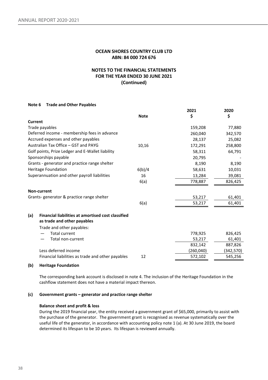## **NOTES TO THE FINANCIAL STATEMENTS FOR THE YEAR ENDED 30 JUNE 2021 (Continued)**

#### **Note 6 Trade and Other Payables**

|                                                                                                 |             | 2021       | 2020      |
|-------------------------------------------------------------------------------------------------|-------------|------------|-----------|
|                                                                                                 | <b>Note</b> | \$         | \$        |
| Current                                                                                         |             |            |           |
| Trade payables                                                                                  |             | 159,208    | 77,880    |
| Deferred income - membership fees in advance                                                    |             | 260,040    | 342,570   |
| Accrued expenses and other payables                                                             |             | 28,137     | 25,082    |
| Australian Tax Office - GST and PAYG                                                            | 10,16       | 172,291    | 258,800   |
| Golf points, Prize Ledger and E-Wallet liability                                                |             | 58,311     | 64,791    |
| Sponsorships payable                                                                            |             | 20,795     |           |
| Grants - generator and practice range shelter                                                   |             | 8,190      | 8,190     |
| <b>Heritage Foundation</b>                                                                      | 6(b)/4      | 58,631     | 10,031    |
| Superannuation and other payroll liabilities                                                    | 16          | 13,284     | 39,081    |
|                                                                                                 | 6(a)        | 778,887    | 826,425   |
| Non-current                                                                                     |             |            |           |
| Grants-generator & practice range shelter                                                       |             | 53,217     | 61,401    |
|                                                                                                 | 6(a)        | 53,217     | 61,401    |
| (a)<br><b>Financial liabilities at amortised cost classified</b><br>as trade and other payables |             |            |           |
| Trade and other payables:                                                                       |             |            |           |
| <b>Total current</b>                                                                            |             | 778,925    | 826,425   |
| Total non-current                                                                               |             | 53,217     | 61,401    |
|                                                                                                 |             | 832,142    | 887,826   |
| Less deferred income                                                                            |             | (260, 040) | (342,570) |
| Financial liabilities as trade and other payables                                               | 12          | 572,102    | 545,256   |
|                                                                                                 |             |            |           |

#### **(b) Heritage Foundation**

The corresponding bank account is disclosed in note 4. The inclusion of the Heritage Foundation in the cashflow statement does not have a material impact thereon.

#### **(c) Government grants – generator and practice range shelter**

#### **Balance sheet and profit & loss**

During the 2019 financial year, the entity received a government grant of \$65,000, primarily to assist with the purchase of the generator. The government grant is recognised as revenue systematically over the useful life of the generator, in accordance with accounting policy note 1 (a). At 30 June 2019, the board determined its lifespan to be 10 years. Its lifespan is reviewed annually.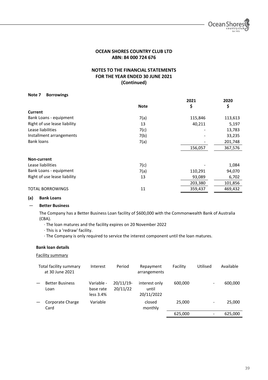## **NOTES TO THE FINANCIAL STATEMENTS FOR THE YEAR ENDED 30 JUNE 2021 (Continued)**

#### **Note 7 Borrowings**

|                              |             | 2021    | 2020    |
|------------------------------|-------------|---------|---------|
|                              | <b>Note</b> | \$      | \$      |
| Current                      |             |         |         |
| Bank Loans - equipment       | 7(a)        | 115,846 | 113,613 |
| Right of use lease liability | 13          | 40,211  | 5,197   |
| Lease liabilities            | 7(c)        |         | 13,783  |
| Installment arrangements     | 7(b)        |         | 33,235  |
| <b>Bank loans</b>            | 7(a)        |         | 201,748 |
|                              |             | 156,057 | 367,576 |
| Non-current                  |             |         |         |
| Lease liabilities            | 7(c)        |         | 1,084   |
| Bank Loans - equipment       | 7(a)        | 110,291 | 94,070  |
| Right of use lease liability | 13          | 93,089  | 6,702   |
|                              |             | 203,380 | 101,856 |
| <b>TOTAL BORROWINGS</b>      | 11          | 359,437 | 469,432 |

## **(a) Bank Loans**

## — **Better Business**

The Company has a Better Business Loan facility of \$600,000 with the Commonwealth Bank of Australia (CBA).

- · The loan matures and the facility expires on 20 November 2022
- · This is a 'redraw' facility.
- · The Company is only required to service the interest component until the loan matures.

#### **Bank loan details**

#### Facility summary

| Total facility summary<br>at 30 June 2021 | Interest                             | Period                   | Repayment<br>arrangements            | Facility | Utilised | Available |
|-------------------------------------------|--------------------------------------|--------------------------|--------------------------------------|----------|----------|-----------|
| <b>Better Business</b><br>Loan            | Variable -<br>base rate<br>less 3.4% | $20/11/19$ -<br>20/11/22 | interest only<br>until<br>20/11/2022 | 600.000  | ۰        | 600.000   |
| Corporate Charge<br>Card                  | Variable                             |                          | closed<br>monthly                    | 25.000   | ۰        | 25.000    |
|                                           |                                      |                          |                                      | 625,000  | ۰        | 625,000   |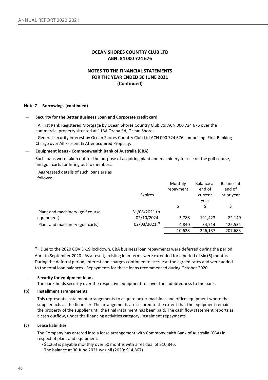## **NOTES TO THE FINANCIAL STATEMENTS FOR THE YEAR ENDED 30 JUNE 2021 (Continued)**

#### **Note 7 Borrowings (continued)**

#### — **Security for the Better Business Loan and Corporate credit card**

· A First Rank Registered Mortgage by Ocean Shores Country Club Ltd ACN 000 724 676 over the commercial property situated at 113A Orana Rd, Ocean Shores

· General security interest by Ocean Shores Country Club Ltd ACN 000 724 676 comprising: First Ranking Charge over All Present & After acquired Property.

#### — **Equipment loans - Commonwealth Bank of Australia (CBA)**

Such loans were taken out for the purpose of acquiring plant and machinery for use on the golf course, and golf carts for hiring out to members.

Aggregated details of such loans are as follows:

| Expires<br>current<br>year<br>31/08/2021 to<br>Plant and machinery (golf course,<br>02/10/2024<br>equipment)<br>5,788<br>191.423<br>02/03/2021 *<br>Plant and machinery (golf carts)<br>4.840<br>34.714<br>10,628<br>226,137 |  | Monthly<br>repayment | Balance at<br>end of | Balance at<br>end of |
|------------------------------------------------------------------------------------------------------------------------------------------------------------------------------------------------------------------------------|--|----------------------|----------------------|----------------------|
|                                                                                                                                                                                                                              |  |                      |                      | prior year           |
|                                                                                                                                                                                                                              |  |                      |                      |                      |
|                                                                                                                                                                                                                              |  |                      |                      |                      |
|                                                                                                                                                                                                                              |  |                      |                      |                      |
|                                                                                                                                                                                                                              |  |                      |                      | 82,149               |
|                                                                                                                                                                                                                              |  |                      |                      | 125.534              |
|                                                                                                                                                                                                                              |  |                      |                      | 207,683              |

**\***- Due to the 2020 COVID-19 lockdown, CBA business loan repayments were deferred during the period April to September 2020. As a result, existing loan terms were extended for a period of six (6) months. During the deferral period, interest and charges continued to accrue at the agreed rates and were added to the total loan balances. Repayments for these loans recommenced during October 2020.

#### — **Security for equipment loans**

The bank holds security over the respective equipment to cover the indebtedness to the bank.

### **(b) Installment arrangements**

This represents instalment arrangements to acquire poker machines and office equipment where the supplier acts as the financier. The arrangements are secured to the extent that the equipment remains the property of the supplier until the final instalment has been paid. The cash flow statement reports as a cash outflow, under the financing activities category, instalment repayments.

#### **(c) Lease liabilities**

The Company has entered into a lease arrangement with Commonwealth Bank of Australia (CBA) in respect of plant and equipment.

- · \$1,263 is payable monthly over 60 months with a residual of \$10,846.
- · The balance at 30 June 2021 was nil (2020: \$14,867).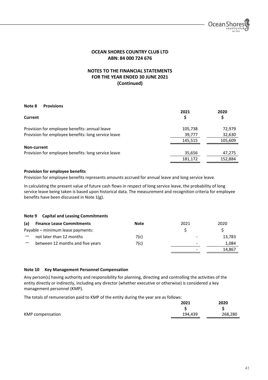## **NOTES TO THE FINANCIAL STATEMENTS FOR THE YEAR ENDED 30 JUNE 2021 (Continued)**

#### **Note 8 Provisions**

| Current                                             | 2021    | 2020    |
|-----------------------------------------------------|---------|---------|
| Provision for employee benefits: annual leave       | 105,738 | 72,979  |
| Provision for employee benefits: long service leave | 39,777  | 32,630  |
|                                                     | 145.515 | 105,609 |
| Non-current                                         |         |         |
| Provision for employee benefits: long service leave | 35.656  | 47.275  |
|                                                     | 181.172 | 152.884 |

#### **Provision for employee benefits**

Provision for employee benefits represents amounts accrued for annual leave and long service leave.

In calculating the present value of future cash flows in respect of long service leave, the probability of long service leave being taken is based upon historical data. The measurement and recognition criteria for employee benefits have been discussed in Note 1(g).

## **Note 9 Capital and Leasing Commitments (a) Finance Lease Commitments Note** 2021 2020 Payable – minimum lease payments:  $\zeta$ not later than 12 months  $\overline{7}$ (c)  $\overline{13.783}$ between 12 months and five years 7(c) The matrix of the contract of the contract of the contract of the contract of the contract of the contract of the contract of the contract of the contract of the contract of the contra  $- 14.867$

#### **Note 10 Key Management Personnel Compensation**

Any person(s) having authority and responsibility for planning, directing and controlling the activities of the entity directly or indirectly, including any director (whether executive or otherwise) is considered a key management personnel (KMP).

The totals of remuneration paid to KMP of the entity during the year are as follows:

|                  | . . | 2021    | 2020    |
|------------------|-----|---------|---------|
|                  |     |         |         |
| KMP compensation |     | 194.439 | 268,280 |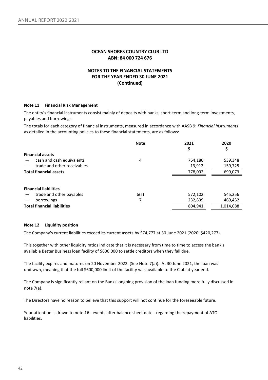## **NOTES TO THE FINANCIAL STATEMENTS FOR THE YEAR ENDED 30 JUNE 2021 (Continued)**

#### **Note 11 Financial Risk Management**

The entity's financial instruments consist mainly of deposits with banks, short-term and long-term investments, payables and borrowings.

The totals for each category of financial instruments, measured in accordance with AASB 9: *Financial Instruments*  as detailed in the accounting policies to these financial statements, are as follows:

| <b>Financial assets</b>                                                                                      | <b>Note</b> | 2021<br>\$                    | 2020<br>\$                      |
|--------------------------------------------------------------------------------------------------------------|-------------|-------------------------------|---------------------------------|
| cash and cash equivalents<br>trade and other receivables<br><b>Total financial assets</b>                    | 4           | 764.180<br>13,912<br>778,092  | 539,348<br>159,725<br>699,073   |
| <b>Financial liabilities</b><br>trade and other payables<br>borrowings<br><b>Total financial liabilities</b> | 6(a)<br>7   | 572,102<br>232,839<br>804,941 | 545,256<br>469,432<br>1,014,688 |

#### **Note 12 Liquidity position**

The Company's current liabilities exceed its current assets by \$74,777 at 30 June 2021 (2020: \$420,277).

This together with other liquidity ratios indicate that it is necessary from time to time to access the bank's available Better Business loan facility of \$600,000 to settle creditors when they fall due.

The facility expires and matures on 20 November 2022. (See Note 7(a)). At 30 June 2021, the loan was undrawn, meaning that the full \$600,000 limit of the facility was available to the Club at year end.

The Company is significantly reliant on the Banks' ongoing provision of the loan funding more fully discussed in note 7(a).

The Directors have no reason to believe that this support will not continue for the foreseeable future.

Your attention is drawn to note 16 - events after balance sheet date - regarding the repayment of ATO liabilities.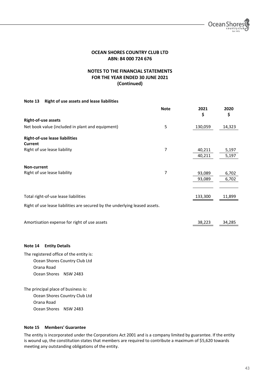## **NOTES TO THE FINANCIAL STATEMENTS FOR THE YEAR ENDED 30 JUNE 2021 (Continued)**

#### **Note 13 Right of use assets and lease liabilities**

|                                                                             | <b>Note</b> | 2021<br>\$ | 2020<br>\$ |
|-----------------------------------------------------------------------------|-------------|------------|------------|
| <b>Right-of-use assets</b>                                                  |             |            |            |
| Net book value (included in plant and equipment)                            | 5           | 130,059    | 14,323     |
| Right-of-use lease liabilities<br>Current                                   |             |            |            |
| Right of use lease liability                                                | 7           | 40,211     | 5,197      |
|                                                                             |             | 40,211     | 5,197      |
| Non-current<br>Right of use lease liability                                 | 7           | 93,089     | 6,702      |
|                                                                             |             | 93,089     | 6,702      |
|                                                                             |             |            |            |
| Total right-of-use lease liabilities                                        |             | 133,300    | 11,899     |
| Right of use lease liabilities are secured by the underlying leased assets. |             |            |            |
| Amortisation expense for right of use assets                                |             | 38,223     | 34,285     |

### **Note 14 Entity Details**

The registered office of the entity is: Ocean Shores Country Club Ltd Orana Road Ocean Shores NSW 2483

The principal place of business is:

Ocean Shores Country Club Ltd Orana Road Ocean Shores NSW 2483

## **Note 15 Members' Guarantee**

The entity is incorporated under the Corporations Act 2001 and is a company limited by guarantee. If the entity is wound up, the constitution states that members are required to contribute a maximum of \$5,620 towards meeting any outstanding obligations of the entity.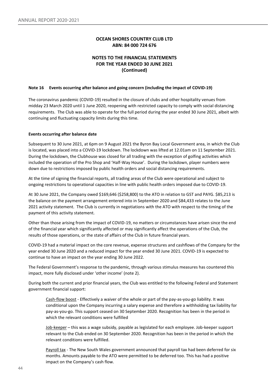## **NOTES TO THE FINANCIAL STATEMENTS FOR THE YEAR ENDED 30 JUNE 2021 (Continued)**

#### **Note 16 Events occurring after balance and going concern (including the impact of COVID-19)**

The coronavirus pandemic (COVID-19) resulted in the closure of clubs and other hospitality venues from midday 23 March 2020 until 1 June 2020, reopening with restricted capacity to comply with social distancing requirements. The Club was able to operate for the full period during the year ended 30 June 2021, albeit with continuing and fluctuating capacity limits during this time.

#### **Events occurring after balance date**

Subsequent to 30 June 2021, at 6pm on 9 August 2021 the Byron Bay Local Government area, in which the Club is located, was placed into a COVID-19 lockdown. The lockdown was lifted at 12.01am on 11 September 2021. During the lockdown, the Clubhouse was closed for all trading with the exception of golfing activities which included the operation of the Pro Shop and 'Half-Way House'. During the lockdown, player numbers were down due to restrictions imposed by public health orders and social distancing requirements.

At the time of signing the financial reports, all trading areas of the Club were operational and subject to ongoing restrictions to operational capacities in line with public health orders imposed due to COVID-19.

At 30 June 2021, the Company owed \$169,646 (\$258,800) to the ATO in relation to GST and PAYG. \$85,213 is the balance on the payment arrangement entered into in September 2020 and \$84,433 relates to the June 2021 activity statement. The Club is currently in negotiations with the ATO with respect to the timing of the payment of this activity statement.

Other than those arising from the impact of COVID-19, no matters or circumstances have arisen since the end of the financial year which significantly affected or may significantly affect the operations of the Club, the results of those operations, or the state of affairs of the Club in future financial years.

COVID-19 had a material impact on the core revenue, expense structures and cashflows of the Company for the year ended 30 June 2020 and a reduced impact for the year ended 30 June 2021. COVID-19 is expected to continue to have an impact on the year ending 30 June 2022.

The Federal Government's response to the pandemic, through various stimulus measures has countered this impact, more fully disclosed under 'other income' (note 2).

During both the current and prior financial years, the Club was entitled to the following Federal and Statement government financial support:

Cash-flow boost - Effectively a waiver of the whole or part of the pay-as-you-go liability. It was conditional upon the Company incurring a salary expense and therefore a withholding tax liability for pay-as-you-go. This support ceased on 30 September 2020. Recognition has been in the period in which the relevant conditions were fulfilled

Job-keeper – this was a wage subsidy, payable as legislated for each employee. Job-keeper support relevant to the Club ended on 30 September 2020. Recognition has been in the period in which the relevant conditions were fulfilled.

Payroll tax - The New South Wales government announced that payroll tax had been deferred for six months. Amounts payable to the ATO were permitted to be deferred too. This has had a positive impact on the Company's cash flow.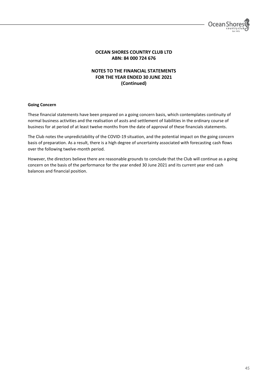

## **NOTES TO THE FINANCIAL STATEMENTS FOR THE YEAR ENDED 30 JUNE 2021 (Continued)**

#### **Going Concern**

These financial statements have been prepared on a going concern basis, which contemplates continuity of normal business activities and the realisation of assts and settlement of liabilities in the ordinary course of business for at period of at least twelve months from the date of approval of these financials statements.

The Club notes the unpredictability of the COVID-19 situation, and the potential impact on the going concern basis of preparation. As a result, there is a high degree of uncertainty associated with forecasting cash flows over the following twelve-month period.

However, the directors believe there are reasonable grounds to conclude that the Club will continue as a going concern on the basis of the performance for the year ended 30 June 2021 and its current year end cash balances and financial position.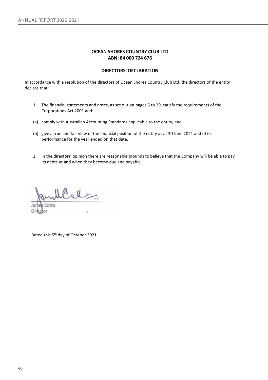#### **DIRECTORS' DECLARATION**

In accordance with a resolution of the directors of Ocean Shores Country Club Ltd, the directors of the entity declare that:

- 1. The financial statements and notes, as set out on pages 5 to 29, satisfy the requirements of the Corporations Act 2001 and:
- (a) comply with Australian Accounting Standards applicable to the entity; and
- (b) give a true and fair view of the financial position of the entity as at 30 June 2021 and of its performance for the year ended on that date.
- 2. In the directors' opinion there are reasonable grounds to believe that the Company will be able to pay its debts as and when they become due and payable.

 $d$ 

Dated this 5th day of October 2021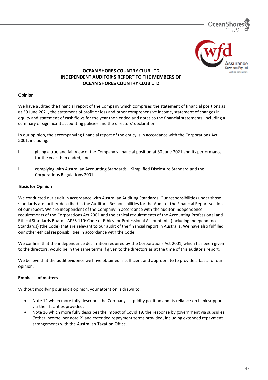



## **OCEAN SHORES COUNTRY CLUB LTD INDEPENDENT AUDITOR'S REPORT TO THE MEMBERS OF OCEAN SHORES COUNTRY CLUB LTD**

#### **Opinion**

We have audited the financial report of the Company which comprises the statement of financial positions as at 30 June 2021, the statement of profit or loss and other comprehensive income, statement of changes in equity and statement of cash flows for the year then ended and notes to the financial statements, including a summary of significant accounting policies and the directors' declaration.

In our opinion, the accompanying financial report of the entity is in accordance with the Corporations Act 2001, including:

- i. giving a true and fair view of the Company's financial position at 30 June 2021 and its performance for the year then ended; and
- ii. complying with Australian Accounting Standards Simplified Disclosure Standard and the Corporations Regulations 2001

#### **Basis for Opinion**

We conducted our audit in accordance with Australian Auditing Standards. Our responsibilities under those standards are further described in the Auditor's Responsibilities for the Audit of the Financial Report section of our report. We are independent of the Company in accordance with the auditor independence requirements of the Corporations Act 2001 and the ethical requirements of the Accounting Professional and Ethical Standards Board's APES 110: Code of Ethics for Professional Accountants (including Independence Standards) (the Code) that are relevant to our audit of the financial report in Australia. We have also fulfilled our other ethical responsibilities in accordance with the Code.

We confirm that the independence declaration required by the Corporations Act 2001, which has been given to the directors, would be in the same terms if given to the directors as at the time of this auditor's report.

We believe that the audit evidence we have obtained is sufficient and appropriate to provide a basis for our opinion.

#### **Emphasis of matters**

Without modifying our audit opinion, your attention is drawn to:

- Note 12 which more fully describes the Company's liquidity position and its reliance on bank support via their facilities provided.
- Note 16 which more fully describes the impact of Covid 19, the response by government via subsidies ('other income' per note 2) and extended repayment terms provided, including extended repayment arrangements with the Australian Taxation Office.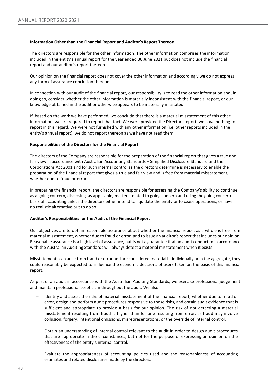## **Information Other than the Financial Report and Auditor's Report Thereon Information Other than the Financial Report and Auditor's Report Thereon**

The directors are responsible for the other information. The other information comprises the information The directors are responsible for the other information. The other information comprises the information included in the entity's annual report for the year ended 30 June 2021 but does not include the financial included in the entity's annual report for the year ended 30 June 2021 but does not include the financial report and our auditor's report thereon. report and our auditor's report thereon.

Our opinion on the financial report does not cover the other information and accordingly we do not express Our opinion on the financial report does not cover the other information and accordingly we do not express any form of assurance conclusion thereon. any form of assurance conclusion thereon.

In connection with our audit of the financial report, our responsibility is to read the other information and, in doing so, consider whether the other information is materially inconsistent with the financial report, or our doing so, consider whether the other information is materially inconsistent with the financial report, or our knowledge obtained in the audit or otherwise appears to be materially misstated. knowledge obtained in the audit or otherwise appears to be materially misstated.

If, based on the work we have performed, we conclude that there is a material misstatement of this other If, based on the work we have performed, we conclude that there is a material misstatement of this other information, we are required to report that fact. We were provided the Directors report: we have nothing to information, we are required to report that fact. We were provided the Directors report: we have nothing to report in this regard. We were not furnished with any other information (i.e. other reports included in the report in this regard. We were not furnished with any other information (i.e. other reports included in the entity's annual report): we do not report thereon as we have not read them. entity's annual report): we do not report thereon as we have not read them.

## **Responsibilities of the Directors for the Financial Report Responsibilities of the Directors for the Financial Report**

The directors of the Company are responsible for the preparation of the financial report that gives a true and The directors of the Company are responsible for the preparation of the financial report that gives a true and fair view in accordance with Australian Accounting Standards – Simplified Disclosure Standard and the fair view in accordance with Australian Accounting Standards – Simplified Disclosure Standard and the Corporations Act 2001 and for such internal control as the directors determine is necessary to enable the Corporations Act 2001 and for such internal control as the directors determine is necessary to enable the preparation of the financial report that gives a true and fair view and is free from material misstatement, preparation of the financial report that gives a true and fair view and is free from material misstatement, whether due to fraud or error. whether due to fraud or error.

In preparing the financial report, the directors are responsible for assessing the Company's ability to continue as a going concern, disclosing, as applicable, matters related to going concern and using the going concern as a going concern, disclosing, as applicable, matters related to going concern and using the going concern basis of accounting unless the directors either intend to liquidate the entity or to cease operations, or have basis of accounting unless the directors either intend to liquidate the entity or to cease operations, or have no realistic alternative but to do so. no realistic alternative but to do so.

### **Auditor's Responsibilities for the Audit of the Financial Report Auditor's Responsibilities for the Audit of the Financial Report**

Our objectives are to obtain reasonable assurance about whether the financial report as a whole is free from Our objectives are to obtain reasonable assurance about whether the financial report as a whole is free from material misstatement, whether due to fraud or error, and to issue an auditor's report that includes our opinion. Reasonable assurance is a high level of assurance, but is not a guarantee that an audit conducted in accordance Reasonable assurance is a high level of assurance, but is not a guarantee that an audit conducted in accordance with the Australian Auditing Standards will always detect a material misstatement when it exists. with the Australian Auditing Standards will always detect a material misstatement when it exists.

Misstatements can arise from fraud or error and are considered material if, individually or in the aggregate, they could reasonably be expected to influence the economic decisions of users taken on the basis of this financial could reasonably be expected to influence the economic decisions of users taken on the basis of this financial report. report.

As part of an audit in accordance with the Australian Auditing Standards, we exercise professional judgement As part of an audit in accordance with the Australian Auditing Standards, we exercise professional judgement and maintain professional scepticism throughout the audit. We also: and maintain professional scepticism throughout the audit. We also:

- − Identify and assess the risks of material misstatement of the financial report, whether due to fraud or − Identify and assess the risks of material misstatement of the financial report, whether due to fraud or error, design and perform audit procedures responsive to those risks, and obtain audit evidence that is error, design and perform audit procedures responsive to those risks, and obtain audit evidence that is sufficient and appropriate to provide a basis for our opinion. The risk of not detecting a material sufficient and appropriate to provide a basis for our opinion. The risk of not detecting a material misstatement resulting from fraud is higher than for one resulting from error, as fraud may involve misstatement resulting from fraud is higher than for one resulting from error, as fraud may involve collusion, forgery, intentional omissions, misrepresentations, or the override of internal control. collusion, forgery, intentional omissions, misrepresentations, or the override of internal control.
- − Obtain an understanding of internal control relevant to the audit in order to design audit procedures that are appropriate in the circumstances, but not for the purpose of expressing an opinion on the that are appropriate in the circumstances, but not for the purpose of expressing an opinion on the effectiveness of the entity's internal control. effectiveness of the entity's internal control.
- − Evaluate the appropriateness of accounting policies used and the reasonableness of accounting estimates and related disclosures made by the directors. estimates and related disclosures made by the directors.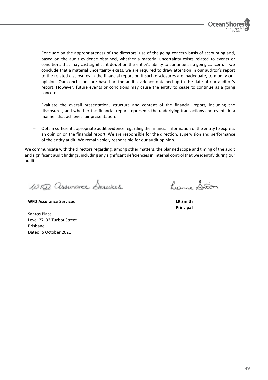

- − Conclude on the appropriateness of the directors' use of the going concern basis of accounting and, based on the audit evidence obtained, whether a material uncertainty exists related to events or conditions that may cast significant doubt on the entity's ability to continue as a going concern. If we conclude that a material uncertainty exists, we are required to draw attention in our auditor's report to the related disclosures in the financial report or, if such disclosures are inadequate, to modify our opinion. Our conclusions are based on the audit evidence obtained up to the date of our auditor's report. However, future events or conditions may cause the entity to cease to continue as a going concern.
- − Evaluate the overall presentation, structure and content of the financial report, including the disclosures, and whether the financial report represents the underlying transactions and events in a manner that achieves fair presentation.
- − Obtain sufficient appropriate audit evidence regarding the financial information of the entity to express an opinion on the financial report. We are responsible for the direction, supervision and performance of the entity audit. We remain solely responsible for our audit opinion.

We communicate with the directors regarding, among other matters, the planned scope and timing of the audit and significant audit findings, including any significant deficiencies in internal control that we identify during our audit.

WFD assurance Services

Lane Si

**Principal**

**WFD Assurance Services LR Smith**

Santos Place Level 27, 32 Turbot Street Brisbane Dated: 5 October 2021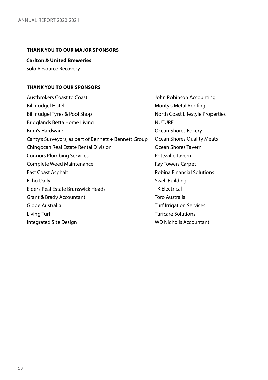## **THANK YOU TO OUR MAJOR SPONSORS**

**Carlton & United Breweries** 

Solo Resource Recovery

## **THANK YOU TO OUR SPONSORS**

| <b>Austbrokers Coast to Coast</b>                     | John Robinson Accounting          |
|-------------------------------------------------------|-----------------------------------|
| <b>Billinudgel Hotel</b>                              | Monty's Metal Roofing             |
| Billinudgel Tyres & Pool Shop                         | North Coast Lifestyle Properties  |
| Bridglands Betta Home Living                          | <b>NUTURF</b>                     |
| Brim's Hardware                                       | Ocean Shores Bakery               |
| Canty's Surveyors, as part of Bennett + Bennett Group | <b>Ocean Shores Quality Meats</b> |
| Chingocan Real Estate Rental Division                 | Ocean Shores Tavern               |
| <b>Connors Plumbing Services</b>                      | <b>Pottsville Tavern</b>          |
| Complete Weed Maintenance                             | Ray Towers Carpet                 |
| East Coast Asphalt                                    | <b>Robina Financial Solutions</b> |
| <b>Echo Daily</b>                                     | Swell Building                    |
| Elders Real Estate Brunswick Heads                    | <b>TK Electrical</b>              |
| Grant & Brady Accountant                              | Toro Australia                    |
| Globe Australia                                       | <b>Turf Irrigation Services</b>   |
| Living Turf                                           | <b>Turfcare Solutions</b>         |
| Integrated Site Design                                | <b>WD Nicholls Accountant</b>     |
|                                                       |                                   |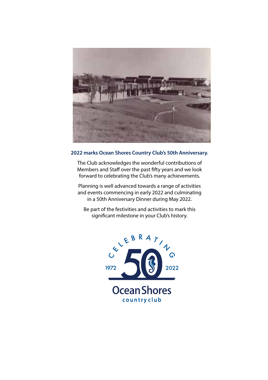

## **2022 marks Ocean Shores Country Club's 50th Anniversary.**

The Club acknowledges the wonderful contributions of Members and Staff over the past fifty years and we look forward to celebrating the Club's many achievements.

Planning is well advanced towards a range of activities and events commencing in early 2022 and culminating in a 50th Anniversary Dinner during May 2022.

Be part of the festivities and activities to mark this significant milestone in your Club's history.